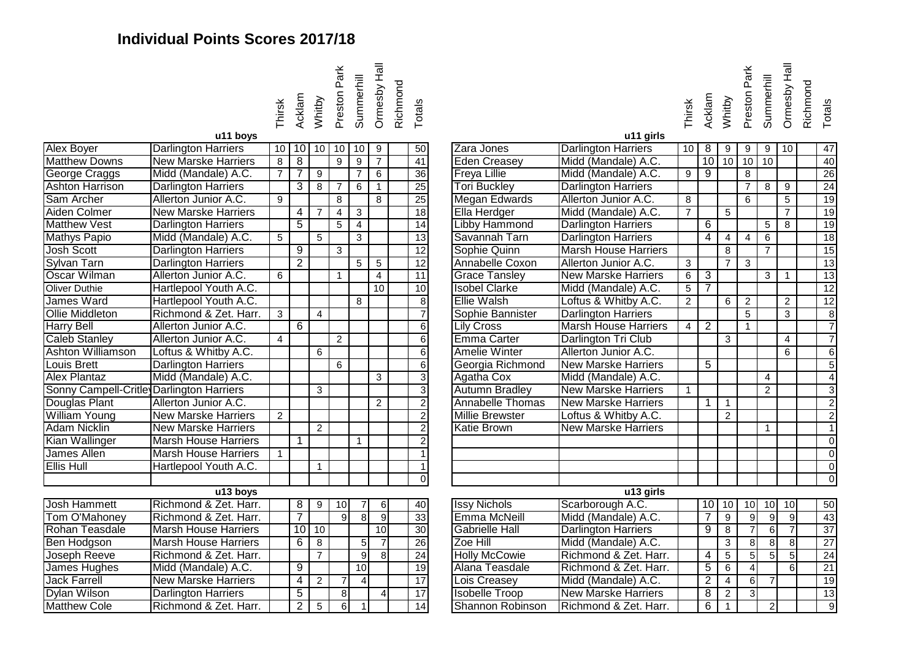## **Individual Points Scores 2017/18**



| Alex Boyer                               | <b>Darlington Harriers</b>  | 10             | 10              | 10             | 10             | 10              | 9               | $\overline{50}$         |
|------------------------------------------|-----------------------------|----------------|-----------------|----------------|----------------|-----------------|-----------------|-------------------------|
| <b>Matthew Downs</b>                     | <b>New Marske Harriers</b>  | 8              | 8               |                | 9              | 9               | $\overline{7}$  | $\overline{41}$         |
| George Craggs                            | Midd (Mandale) A.C.         | $\overline{7}$ | 7               | 9              |                | $\overline{7}$  | 6               | 36                      |
| <b>Ashton Harrison</b>                   | <b>Darlington Harriers</b>  |                | 3               | 8              | $\overline{7}$ | 6               | $\mathbf{1}$    | 25                      |
| Sam Archer                               | Allerton Junior A.C.        | 9              |                 |                | 8              |                 | 8               | $\overline{25}$         |
| Aiden Colmer                             | <b>New Marske Harriers</b>  |                | 4               | 7              | 4              | 3               |                 | 18                      |
| <b>Matthew Vest</b>                      | <b>Darlington Harriers</b>  |                | $\overline{5}$  |                | $\overline{5}$ | 4               |                 | $\overline{14}$         |
| <b>Mathys Papio</b>                      | Midd (Mandale) A.C.         | 5              |                 | 5              |                | 3               |                 | $\overline{13}$         |
| <b>Josh Scott</b>                        | <b>Darlington Harriers</b>  |                | $\overline{9}$  |                | 3              |                 |                 | $\overline{12}$         |
| <b>Sylvan Tarn</b>                       | <b>Darlington Harriers</b>  |                | $\overline{2}$  |                |                | 5               | 5               | $\overline{12}$         |
| Oscar Wilman                             | Allerton Junior A.C.        | 6              |                 |                | 1              |                 | $\overline{4}$  | 11                      |
| <b>Oliver Duthie</b>                     | Hartlepool Youth A.C.       |                |                 |                |                |                 | $\overline{10}$ | 10                      |
| James Ward                               | Hartlepool Youth A.C.       |                |                 |                |                | 8               |                 | $\overline{8}$          |
| <b>Ollie Middleton</b>                   | Richmond & Zet. Harr.       | 3              |                 | $\overline{4}$ |                |                 |                 | $\overline{7}$          |
| <b>Harry Bell</b>                        | Allerton Junior A.C.        |                | $\overline{6}$  |                |                |                 |                 | $\overline{6}$          |
| <b>Caleb Stanley</b>                     | Allerton Junior A.C.        | 4              |                 |                | $\overline{2}$ |                 |                 | $\overline{6}$          |
| <b>Ashton Williamson</b>                 | Loftus & Whitby A.C.        |                |                 | 6              |                |                 |                 | $\overline{6}$          |
| <b>Louis Brett</b>                       | <b>Darlington Harriers</b>  |                |                 |                | 6              |                 |                 | $\overline{6}$          |
| <b>Alex Plantaz</b>                      | Midd (Mandale) A.C.         |                |                 |                |                |                 | 3               | $\overline{3}$          |
| Sonny Campell-Critle Darlington Harriers |                             |                |                 | 3              |                |                 |                 | $\overline{3}$          |
| Douglas Plant                            | Allerton Junior A.C.        |                |                 |                |                |                 | $\overline{2}$  | $\overline{2}$          |
| <b>William Young</b>                     | <b>New Marske Harriers</b>  | $\overline{2}$ |                 |                |                |                 |                 | $\overline{2}$          |
| <b>Adam Nicklin</b>                      | <b>New Marske Harriers</b>  |                |                 | $\overline{2}$ |                |                 |                 | $\overline{2}$          |
| Kian Wallinger                           | <b>Marsh House Harriers</b> |                | 1               |                |                | 1               |                 | $\overline{2}$          |
| James Allen                              | <b>Marsh House Harriers</b> | 1              |                 |                |                |                 |                 | $\overline{1}$          |
| <b>Ellis Hull</b>                        | Hartlepool Youth A.C.       |                |                 | $\mathbf{1}$   |                |                 |                 | $\overline{\mathbf{1}}$ |
|                                          |                             |                |                 |                |                |                 |                 | $\overline{0}$          |
|                                          | u13 boys                    |                |                 |                |                |                 |                 |                         |
| <b>Josh Hammett</b>                      | Richmond & Zet. Harr.       |                | 8               | 9              | 10             | 7               | 6               | 40                      |
| Tom O'Mahoney                            | Richmond & Zet. Harr.       |                | 7               |                | $\overline{9}$ | $\overline{8}$  | $\overline{9}$  | 33                      |
| Rohan Teasdale                           | <b>Marsh House Harriers</b> |                | $\overline{10}$ | 10             |                |                 | 10              | 30                      |
| Ben Hodgson                              | <b>Marsh House Harriers</b> |                | 6               | 8              |                | $\overline{5}$  | $\overline{7}$  | 26                      |
| Joseph Reeve                             | Richmond & Zet. Harr.       |                |                 | $\overline{7}$ |                | $\overline{9}$  | $\overline{8}$  | 24                      |
| James Hughes                             | Midd (Mandale) A.C.         |                | $\overline{9}$  |                |                | $\overline{10}$ |                 | 19                      |
| <b>Jack Farrell</b>                      | <b>New Marske Harriers</b>  |                | $\overline{4}$  | $\overline{2}$ | $\overline{7}$ | $\overline{4}$  |                 | $\overline{17}$         |
| <b>Dylan Wilson</b>                      | <b>Darlington Harriers</b>  |                | 5               |                | 8              |                 | 4               | $\overline{17}$         |
| <b>Matthew Cole</b>                      | Richmond & Zet. Harr.       |                | $\overline{2}$  | 5              | $\overline{6}$ | $\mathbf{1}$    |                 | $\overline{14}$         |
|                                          |                             |                |                 |                |                |                 |                 |                         |

|                                          | u11 boys                    | Thirsk              | Acklam         | Whitby         | Preston Park   | Summerhill     | <b>Drmesby Hall</b> | Richmond | Totals          |                        | u11 girls                   | Thirsk         | Acklam         | Whitby         | Preston Park   | Summerhill          | <b>Drmesby Hall</b> | Richmond | Totals          |
|------------------------------------------|-----------------------------|---------------------|----------------|----------------|----------------|----------------|---------------------|----------|-----------------|------------------------|-----------------------------|----------------|----------------|----------------|----------------|---------------------|---------------------|----------|-----------------|
| Alex Boyer                               | <b>Darlington Harriers</b>  | 10                  |                | $10$ 10 10     |                | 10             | 9                   |          | 50              | Zara Jones             | <b>Darlington Harriers</b>  |                | $10$   8       | 9              | 9              | 9                   | 10                  |          | $\overline{47}$ |
| <b>Matthew Downs</b>                     | <b>New Marske Harriers</b>  | 8                   | $\overline{8}$ |                | $\overline{9}$ | $\overline{9}$ | $\overline{7}$      |          | 41              | <b>Eden Creasey</b>    | Midd (Mandale) A.C.         |                | 10             | 10             | 10             | 10                  |                     |          | 40              |
| George Craggs                            | Midd (Mandale) A.C.         | $\overline{7}$      | $\overline{7}$ | 9              |                | $\overline{7}$ | 6                   |          | 36              | <b>Freya Lillie</b>    | Midd (Mandale) A.C.         | $\overline{9}$ | $\overline{9}$ |                | $\overline{8}$ |                     |                     |          | 26              |
| <b>Ashton Harrison</b>                   | <b>Darlington Harriers</b>  |                     | $\overline{3}$ | 8              | $\overline{7}$ | $\overline{6}$ | $\mathbf{1}$        |          | $\overline{25}$ | <b>Tori Buckley</b>    | <b>Darlington Harriers</b>  |                |                |                | $\overline{7}$ | $\overline{8}$      | $\overline{9}$      |          | $\overline{24}$ |
| Sam Archer                               | Allerton Junior A.C.        | $\overline{9}$      |                |                | 8              |                | 8                   |          | $\overline{25}$ | <b>Megan Edwards</b>   | Allerton Junior A.C.        | 8              |                |                | $\overline{6}$ |                     | $\overline{5}$      |          | $\overline{19}$ |
| Aiden Colmer                             | <b>New Marske Harriers</b>  |                     | $\overline{4}$ | $\overline{7}$ | $\overline{4}$ | $\mathbf{3}$   |                     |          | 18              | Ella Herdger           | Midd (Mandale) A.C.         | $\overline{7}$ |                | $\sqrt{5}$     |                |                     | $\overline{7}$      |          | 19              |
| <b>Matthew Vest</b>                      | <b>Darlington Harriers</b>  |                     | $\overline{5}$ |                | 5              | $\overline{4}$ |                     |          | 14              | <b>Libby Hammond</b>   | <b>Darlington Harriers</b>  |                | 6              |                |                | $5\phantom{.0}$     | 8                   |          | 19              |
| <b>Mathys Papio</b>                      | Midd (Mandale) A.C.         | 5                   |                | 5              |                | 3              |                     |          | 13              | Savannah Tarn          | <b>Darlington Harriers</b>  |                | $\overline{4}$ | $\overline{4}$ | $\overline{4}$ | $\overline{6}$      |                     |          | 18              |
| <b>Josh Scott</b>                        | <b>Darlington Harriers</b>  |                     | $\overline{9}$ |                | 3              |                |                     |          | $\overline{12}$ | Sophie Quinn           | <b>Marsh House Harriers</b> |                |                | $\overline{8}$ |                | $\overline{7}$      |                     |          | 15              |
| Sylvan Tarn                              | <b>Darlington Harriers</b>  |                     | $\overline{2}$ |                |                | 5              | $\sqrt{5}$          |          | $\overline{12}$ | Annabelle Coxon        | Allerton Junior A.C.        | $\mathbf{3}$   |                | $\overline{7}$ | $\mathbf{3}$   |                     |                     |          | $\overline{13}$ |
| Oscar Wilman                             | Allerton Junior A.C.        | $\overline{6}$      |                |                | $\mathbf{1}$   |                | $\overline{4}$      |          | $\overline{11}$ | <b>Grace Tansley</b>   | <b>New Marske Harriers</b>  | $\overline{6}$ | $\overline{3}$ |                |                | $\overline{\omega}$ | $\mathbf{1}$        |          | $\overline{13}$ |
| <b>Oliver Duthie</b>                     | Hartlepool Youth A.C.       |                     |                |                |                |                | 10                  |          | 10              | <b>Isobel Clarke</b>   | Midd (Mandale) A.C.         | $\overline{5}$ | $\overline{7}$ |                |                |                     |                     |          | 12              |
| James Ward                               | Hartlepool Youth A.C.       |                     |                |                |                | 8              |                     |          | $\overline{8}$  | <b>Ellie Walsh</b>     | Loftus & Whitby A.C.        | $\overline{2}$ |                | 6              | $\overline{2}$ |                     | $\overline{2}$      |          | 12              |
| <b>Ollie Middleton</b>                   | Richmond & Zet. Harr.       | $\overline{\omega}$ |                | $\overline{4}$ |                |                |                     |          | $\overline{7}$  | Sophie Bannister       | <b>Darlington Harriers</b>  |                |                |                | $\overline{5}$ |                     | $\overline{3}$      |          | 8               |
| Harry Bell                               | Allerton Junior A.C.        |                     | 6              |                |                |                |                     |          | 6               | <b>Lily Cross</b>      | <b>Marsh House Harriers</b> | $\overline{4}$ | $\overline{2}$ |                | $\overline{1}$ |                     |                     |          | $\overline{7}$  |
| <b>Caleb Stanley</b>                     | Allerton Junior A.C.        | $\overline{4}$      |                |                | $\overline{2}$ |                |                     |          | 6               | Emma Carter            | Darlington Tri Club         |                |                | 3              |                |                     | $\overline{4}$      |          | $\overline{7}$  |
| <b>Ashton Williamson</b>                 | Loftus & Whitby A.C.        |                     |                | 6              |                |                |                     |          | 6               | <b>Amelie Winter</b>   | Allerton Junior A.C.        |                |                |                |                |                     | 6                   |          | 6               |
| <b>Louis Brett</b>                       | <b>Darlington Harriers</b>  |                     |                |                | 6              |                |                     |          | 6               | Georgia Richmond       | <b>New Marske Harriers</b>  |                | $\overline{5}$ |                |                |                     |                     |          | 5               |
| <b>Alex Plantaz</b>                      | Midd (Mandale) A.C.         |                     |                |                |                |                | 3                   |          | $\overline{3}$  | Agatha Cox             | Midd (Mandale) A.C.         |                |                |                |                | $\overline{4}$      |                     |          | $\overline{4}$  |
| Sonny Campell-Critle Darlington Harriers |                             |                     |                | 3              |                |                |                     |          | $\overline{3}$  | Autumn Bradley         | <b>New Marske Harriers</b>  | $\overline{1}$ |                |                |                | $\overline{2}$      |                     |          | $\overline{3}$  |
| Douglas Plant                            | Allerton Junior A.C.        |                     |                |                |                |                | 2                   |          | $\overline{2}$  | Annabelle Thomas       | <b>New Marske Harriers</b>  |                | $\mathbf{1}$   | $\overline{1}$ |                |                     |                     |          | $\overline{2}$  |
| <b>William Young</b>                     | <b>New Marske Harriers</b>  | $\overline{2}$      |                |                |                |                |                     |          | $\overline{2}$  | <b>Millie Brewster</b> | Loftus & Whitby A.C.        |                |                | $\overline{2}$ |                |                     |                     |          | $\overline{2}$  |
| <b>Adam Nicklin</b>                      | <b>New Marske Harriers</b>  |                     |                | $\overline{2}$ |                |                |                     |          | $\overline{2}$  | <b>Katie Brown</b>     | <b>New Marske Harriers</b>  |                |                |                |                | $\mathbf{1}$        |                     |          | $\mathbf{1}$    |
| Kian Wallinger                           | <b>Marsh House Harriers</b> |                     | $\mathbf{1}$   |                |                | $\mathbf{1}$   |                     |          | $\overline{2}$  |                        |                             |                |                |                |                |                     |                     |          | $\overline{0}$  |
| <b>James Allen</b>                       | <b>Marsh House Harriers</b> | $\mathbf{1}$        |                |                |                |                |                     |          |                 |                        |                             |                |                |                |                |                     |                     |          | $\Omega$        |
| Ellis Hull                               | Hartlepool Youth A.C.       |                     |                | $\overline{1}$ |                |                |                     |          | $\mathbf{1}$    |                        |                             |                |                |                |                |                     |                     |          | $\mathbf 0$     |
|                                          |                             |                     |                |                |                |                |                     |          | $\Omega$        |                        |                             |                |                |                |                |                     |                     |          | $\Omega$        |
|                                          | u13 boys                    |                     |                |                |                |                |                     |          |                 |                        | u13 girls                   |                |                |                |                |                     |                     |          |                 |
| <b>Josh Hammett</b>                      | Richmond & Zet. Harr.       |                     | 8 <sup>1</sup> | 9              | 10             | $\overline{7}$ | $6 \mid$            |          | 40              | <b>Issy Nichols</b>    | Scarborough A.C.            |                |                | $10$ 10        |                | $10$ 10             | $\overline{10}$     |          | $\overline{50}$ |
| Tom O'Mahoney                            | Richmond & Zet. Harr.       |                     | $\overline{7}$ |                | $\overline{9}$ | $\infty$       | $\overline{9}$      |          | $\overline{33}$ | Emma McNeill           | Midd (Mandale) A.C.         |                | $\overline{7}$ | $\overline{9}$ | 9              | 9                   | မ                   |          | 43              |
| Rohan Teasdale                           | <b>Marsh House Harriers</b> |                     |                | $10$ 10        |                |                | 10                  |          | 30              | <b>Gabrielle Hall</b>  | <b>Darlington Harriers</b>  |                | $\overline{9}$ | $\overline{8}$ | 7 <sup>1</sup> | $6 \mid$            | $\overline{7}$      |          | $\overline{37}$ |
| <b>Ben Hodgson</b>                       | <b>Marsh House Harriers</b> |                     | 6              | 8              |                | 5 <sup>1</sup> | $\overline{7}$      |          | $\overline{26}$ | Zoe Hill               | Midd (Mandale) A.C.         |                |                | $\mathbf{3}$   | 8 <sup>1</sup> | 8                   | 8                   |          | $\overline{27}$ |
| <b>Joseph Reeve</b>                      | Richmond & Zet. Harr.       |                     |                | $\overline{7}$ |                | $\overline{9}$ | $\overline{8}$      |          | 24              | <b>Holly McCowie</b>   | Richmond & Zet. Harr.       |                | $\overline{4}$ | $\overline{5}$ | $\overline{5}$ | 5                   | $\overline{5}$      |          | $\overline{24}$ |
| James Hughes                             | Midd (Mandale) A.C.         |                     | 9              |                |                | 10             |                     |          | 19              | Alana Teasdale         | Richmond & Zet. Harr.       |                | 5              | 6              | $\overline{4}$ |                     | 6                   |          | 21              |
| <b>Jack Farrell</b>                      | <b>New Marske Harriers</b>  |                     | $\overline{4}$ | $\overline{2}$ | $\overline{7}$ | $\vert$        |                     |          | $\overline{17}$ | Lois Creasey           | Midd (Mandale) A.C.         |                | $\overline{2}$ | $\overline{4}$ | 6              | $\overline{7}$      |                     |          | $\overline{19}$ |
| Dylan Wilson                             | <b>Darlington Harriers</b>  |                     | $\overline{5}$ |                | 8              |                | $\vert$             |          | 17              | <b>Isobelle Troop</b>  | <b>New Marske Harriers</b>  |                | $\overline{8}$ | $\overline{2}$ | 3 <sup>1</sup> |                     |                     |          | 13              |
| <b>Matthew Cole</b>                      | Richmond & Zet. Harr.       |                     | $\overline{2}$ | $\sqrt{5}$     | $\overline{6}$ | $\vert$ 1      |                     |          | $\overline{14}$ | Shannon Robinson       | Richmond & Zet. Harr.       |                | $\overline{6}$ | $\overline{1}$ |                | $\vert$ 2           |                     |          | 9               |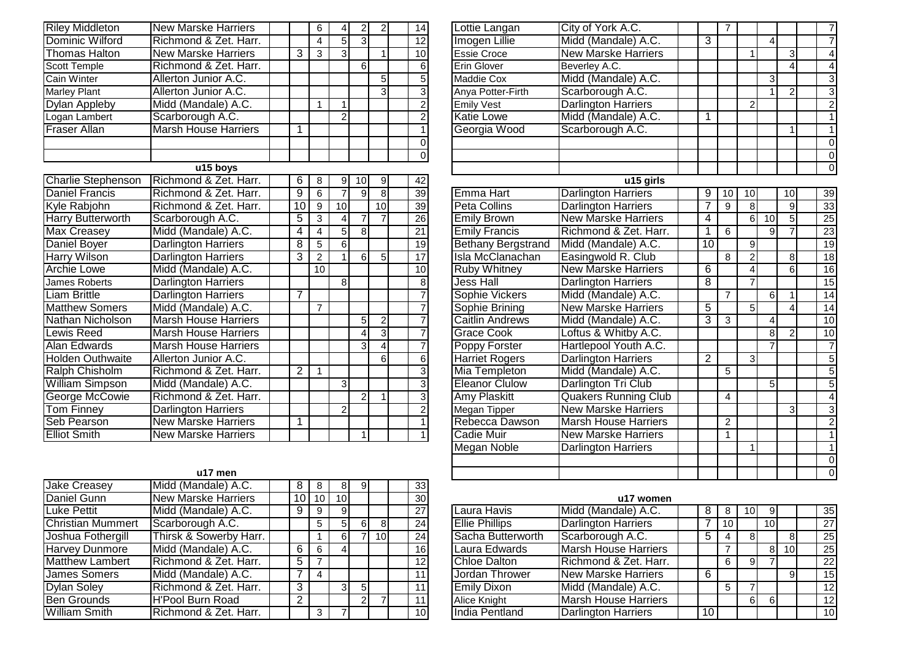| <b>Riley Middleton</b>  | <b>New Marske Harriers</b>  |                 | 6              | $\overline{4}$  | $\mathbf{2}$   | $\mathbf{2}$    | 14              | Lottie Langan             | City of York A.C.          |
|-------------------------|-----------------------------|-----------------|----------------|-----------------|----------------|-----------------|-----------------|---------------------------|----------------------------|
| Dominic Wilford         | Richmond & Zet. Harr.       |                 | 4              | 5               | $\overline{3}$ |                 | 12              | <b>Imogen Lillie</b>      | Midd (Mandale) A.C.        |
| <b>Thomas Halton</b>    | <b>New Marske Harriers</b>  | 3               | 3              | 3               |                | 1 <sup>1</sup>  | 10              | <b>Essie Croce</b>        | <b>New Marske Harriers</b> |
| Scott Temple            | Richmond & Zet. Harr.       |                 |                |                 | 6              |                 | 6               | <b>Erin Glover</b>        | Beverley A.C.              |
| Cain Winter             | Allerton Junior A.C.        |                 |                |                 |                | 5 <sub>1</sub>  |                 | Maddie Cox                | Midd (Mandale) A.C.        |
| Marley Plant            | Allerton Junior A.C.        |                 |                |                 |                | $\overline{3}$  |                 | Anya Potter-Firth         | Scarborough A.C.           |
| Dylan Appleby           | Midd (Mandale) A.C.         |                 | 1              | 1               |                |                 |                 | <b>Emily Vest</b>         | <b>Darlington Harriers</b> |
| Logan Lambert           | Scarborough A.C.            |                 |                | $\overline{2}$  |                |                 |                 | <b>Katie Lowe</b>         | Midd (Mandale) A.C.        |
| Fraser Allan            | <b>Marsh House Harriers</b> | 1               |                |                 |                |                 |                 | Georgia Wood              | Scarborough A.C.           |
|                         |                             |                 |                |                 |                |                 |                 |                           |                            |
|                         |                             |                 |                |                 |                |                 |                 |                           |                            |
|                         | u15 boys                    |                 |                |                 |                |                 |                 |                           |                            |
| Charlie Stephenson      | Richmond & Zet. Harr.       | 6               | 8              | 9               | 10             | 9               | 42              |                           | u15 girls                  |
| Daniel Francis          | Richmond & Zet. Harr.       | $\overline{9}$  | 6              | $\overline{7}$  | $\overline{9}$ | $\overline{8}$  | 39              | Emma Hart                 | <b>Darlington Harriers</b> |
| Kyle Rabjohn            | Richmond & Zet. Harr.       | $\overline{10}$ | 9              | $\overline{10}$ |                | 10              | 39              | <b>Peta Collins</b>       | <b>Darlington Harriers</b> |
| Harry Butterworth       | Scarborough A.C.            | $\overline{5}$  | 3              | 4               |                | $\overline{7}$  | 26              | <b>Emily Brown</b>        | <b>New Marske Harriers</b> |
| <b>Max Creasey</b>      | Midd (Mandale) A.C.         | 4               | 4              | 5               | 8              |                 | $\overline{21}$ | <b>Emily Francis</b>      | Richmond & Zet. Har        |
| <b>Daniel Boyer</b>     | <b>Darlington Harriers</b>  | 8               | 5              | $\overline{6}$  |                |                 | 19              | <b>Bethany Bergstrand</b> | Midd (Mandale) A.C.        |
| <b>Harry Wilson</b>     | <b>Darlington Harriers</b>  | 3               | $\overline{2}$ | $\mathbf{1}$    | $6 \mid$       | $\overline{5}$  | 17              | Isla McClanachan          | Easingwold R. Club         |
| <b>Archie Lowe</b>      | Midd (Mandale) A.C.         |                 | 10             |                 |                |                 | 10              | <b>Ruby Whitney</b>       | <b>New Marske Harriers</b> |
| James Roberts           | <b>Darlington Harriers</b>  |                 |                | 8               |                |                 |                 | <b>Jess Hall</b>          | <b>Darlington Harriers</b> |
| <b>Liam Brittle</b>     | <b>Darlington Harriers</b>  | 7               |                |                 |                |                 |                 | Sophie Vickers            | Midd (Mandale) A.C.        |
| <b>Matthew Somers</b>   | Midd (Mandale) A.C.         |                 | $\overline{7}$ |                 |                |                 |                 | Sophie Brining            | <b>New Marske Harriers</b> |
| Nathan Nicholson        | <b>Marsh House Harriers</b> |                 |                |                 | 5              | $\overline{2}$  |                 | Caitlin Andrews           | Midd (Mandale) A.C.        |
| Lewis Reed              | <b>Marsh House Harriers</b> |                 |                |                 |                | $\overline{3}$  |                 | <b>Grace Cook</b>         | Loftus & Whitby A.C.       |
| Alan Edwards            | <b>Marsh House Harriers</b> |                 |                |                 | 3              | $\vert 4 \vert$ |                 | Poppy Forster             | Hartlepool Youth A.C       |
| <b>Holden Outhwaite</b> | Allerton Junior A.C.        |                 |                |                 |                | $6 \mid$        | 6               | <b>Harriet Rogers</b>     | <b>Darlington Harriers</b> |
| Ralph Chisholm          | Richmond & Zet. Harr.       | 2               | 1              |                 |                |                 |                 | Mia Templeton             | Midd (Mandale) A.C.        |
| <b>William Simpson</b>  | Midd (Mandale) A.C.         |                 |                | 3               |                |                 |                 | <b>Eleanor Clulow</b>     | Darlington Tri Club        |
| George McCowie          | Richmond & Zet. Harr.       |                 |                |                 | $\overline{2}$ | 1               | 3               | Amy Plaskitt              | <b>Quakers Running Clu</b> |
| <b>Tom Finney</b>       | <b>Darlington Harriers</b>  |                 |                | $\overline{c}$  |                |                 |                 | Megan Tipper              | <b>New Marske Harriers</b> |
| Seb Pearson             | <b>New Marske Harriers</b>  | 1               |                |                 |                |                 |                 | Rebecca Dawson            | <b>Marsh House Harrier</b> |
| <b>Elliot Smith</b>     | <b>New Marske Harriers</b>  |                 |                |                 |                |                 |                 | <b>Cadie Muir</b>         | <b>New Marske Harriers</b> |
|                         |                             |                 |                |                 |                |                 |                 |                           |                            |

|                          | u17 men                    |                 |    |    |   |                 |    |
|--------------------------|----------------------------|-----------------|----|----|---|-----------------|----|
| <b>Jake Creasey</b>      | Midd (Mandale) A.C.        | 8               | 8  | 8  | 9 |                 | 33 |
| Daniel Gunn              | <b>New Marske Harriers</b> | 10 <sup>°</sup> | 10 | 10 |   |                 | 30 |
| <b>Luke Pettit</b>       | Midd (Mandale) A.C.        | 9               | 9  | 9  |   |                 | 27 |
| <b>Christian Mummert</b> | Scarborough A.C.           |                 | 5  | 5  | 6 | 8               | 24 |
| Joshua Fothergill        | Thirsk & Sowerby Harr.     |                 |    | 6  |   | 10 <sub>1</sub> | 24 |
| <b>Harvey Dunmore</b>    | Midd (Mandale) A.C.        | 6               | 6  | 4  |   |                 | 16 |
| <b>Matthew Lambert</b>   | Richmond & Zet. Harr.      | 5               | 7  |    |   |                 | 12 |
| James Somers             | Midd (Mandale) A.C.        |                 | 4  |    |   |                 | 11 |
| <b>Dylan Soley</b>       | Richmond & Zet. Harr.      | 3               |    | 3  | 5 |                 | 11 |
| <b>Ben Grounds</b>       | <b>H'Pool Burn Road</b>    | 2               |    |    | 2 |                 | 11 |
| <b>William Smith</b>     | Richmond & Zet. Harr.      |                 | 3  |    |   |                 | 10 |

| 6                                                       | $\overline{4}$ | $\overline{2}$                       | $\overline{2}$ | 14              | Lottie Langan             | City of York A.C.           |                | $\overline{7}$ |                |                |                | $\overline{7}$  |
|---------------------------------------------------------|----------------|--------------------------------------|----------------|-----------------|---------------------------|-----------------------------|----------------|----------------|----------------|----------------|----------------|-----------------|
| $\frac{4}{3}$                                           | $\overline{5}$ | $\overline{\overline{3}}$            |                | 12              | Imogen Lillie             | Midd (Mandale) A.C.         | $\overline{3}$ |                |                | $\overline{4}$ |                | $\overline{7}$  |
|                                                         | $\overline{3}$ |                                      | 1              | 10              | <b>Essie Croce</b>        | <b>New Marske Harriers</b>  |                |                | 1              |                | $\overline{3}$ | $\overline{4}$  |
|                                                         |                | 6                                    |                | 6 <sup>1</sup>  | <b>Erin Glover</b>        | Beverley A.C.               |                |                |                |                | 4              | 4               |
|                                                         |                |                                      | 5              | $\overline{5}$  | Maddie Cox                | Midd (Mandale) A.C.         |                |                |                | $\overline{3}$ |                | $\overline{3}$  |
|                                                         |                |                                      | 3              | $\overline{3}$  | Anya Potter-Firth         | Scarborough A.C.            |                |                |                | 1              | $\overline{2}$ | $\overline{3}$  |
| 1                                                       | 1              |                                      |                | $\overline{2}$  | <b>Emily Vest</b>         | <b>Darlington Harriers</b>  |                |                | $\overline{2}$ |                |                | $\overline{2}$  |
|                                                         | $\mathcal{P}$  |                                      |                | $\overline{2}$  | <b>Katie Lowe</b>         | Midd (Mandale) A.C.         | 1              |                |                |                |                | $\mathbf{1}$    |
|                                                         |                |                                      |                | 1               | Georgia Wood              | Scarborough A.C.            |                |                |                |                | $\mathbf{1}$   | 1               |
|                                                         |                |                                      |                | $\overline{0}$  |                           |                             |                |                |                |                |                | $\overline{0}$  |
|                                                         |                |                                      |                | $\overline{0}$  |                           |                             |                |                |                |                |                | $\overline{0}$  |
|                                                         |                |                                      |                |                 |                           |                             |                |                |                |                |                | $\overline{0}$  |
| 8                                                       | 9              | 10                                   | $9\,$          | 42              |                           | u15 girls                   |                |                |                |                |                |                 |
| $\overline{6}$                                          | 7              | $\overline{9}$                       | $\overline{8}$ | 39              | Emma Hart                 | <b>Darlington Harriers</b>  | 9              | 10             | 10             |                | 10             | 39              |
|                                                         | 10             |                                      | 10             | 39              | <b>Peta Collins</b>       | <b>Darlington Harriers</b>  | 7              | 9              | $\overline{8}$ |                | 9              | 33              |
|                                                         | 4              | $\overline{7}$                       | $\overline{7}$ | 26              | <b>Emily Brown</b>        | <b>New Marske Harriers</b>  | 4              |                | 6              | 10             | $\overline{5}$ | $\overline{25}$ |
|                                                         | $\overline{5}$ | $\overline{\overline{\overline{8}}}$ |                | $\overline{21}$ | <b>Emily Francis</b>      | Richmond & Zet. Harr.       | 1              | $\overline{6}$ |                | $\overline{9}$ | $\overline{7}$ | 23              |
| $\frac{9}{3}$ $\frac{3}{4}$ $\frac{4}{5}$ $\frac{1}{2}$ | 6              |                                      |                | 19              | <b>Bethany Bergstrand</b> | Midd (Mandale) A.C.         | 10             |                | 9              |                |                | $\overline{19}$ |
|                                                         | 1              | 6                                    | $\overline{5}$ | 17              | Isla McClanachan          | Easingwold R. Club          |                | $\overline{8}$ | $\overline{2}$ |                | 8              | $\overline{18}$ |
| $\overline{10}$                                         |                |                                      |                | 10              | <b>Ruby Whitney</b>       | <b>New Marske Harriers</b>  | 6              |                | 4              |                | 6              | 16              |
|                                                         | 8              |                                      |                | $\overline{8}$  | Jess Hall                 | <b>Darlington Harriers</b>  | $\overline{8}$ |                | 7              |                |                | 15              |
|                                                         |                |                                      |                | $\overline{7}$  | Sophie Vickers            | Midd (Mandale) A.C.         |                | $\overline{7}$ |                | 6              | 1              | $\overline{14}$ |
| 7                                                       |                |                                      |                | $\overline{7}$  | Sophie Brining            | <b>New Marske Harriers</b>  | $\overline{5}$ |                | $\overline{5}$ |                | $\overline{4}$ | $\overline{14}$ |
|                                                         |                | $\overline{5}$                       | $\overline{2}$ | $\overline{7}$  | <b>Caitlin Andrews</b>    | Midd (Mandale) A.C.         | $\overline{3}$ | $\overline{3}$ |                | $\overline{4}$ |                | $\overline{10}$ |
|                                                         |                | 4                                    | $\overline{3}$ | 7               | <b>Grace Cook</b>         | Loftus & Whitby A.C.        |                |                |                | $\overline{8}$ | $\overline{2}$ | 10              |
|                                                         |                | 3                                    | 4              | 7               | Poppy Forster             | Hartlepool Youth A.C.       |                |                |                | $\overline{7}$ |                | $\overline{7}$  |
|                                                         |                |                                      | $\overline{6}$ | $\overline{6}$  | <b>Harriet Rogers</b>     | <b>Darlington Harriers</b>  | $\overline{2}$ |                | $\overline{3}$ |                |                | $\overline{5}$  |
| 1                                                       |                |                                      |                | $\overline{3}$  | Mia Templeton             | Midd (Mandale) A.C.         |                | $\overline{5}$ |                |                |                | 5               |
|                                                         | 3              |                                      |                | $\overline{3}$  | <b>Eleanor Clulow</b>     | Darlington Tri Club         |                |                |                | $\overline{5}$ |                | $\overline{5}$  |
|                                                         |                | $\overline{2}$                       | 1              | $\overline{3}$  | <b>Amy Plaskitt</b>       | <b>Quakers Running Club</b> |                | $\overline{4}$ |                |                |                | $\overline{4}$  |
|                                                         | $\overline{c}$ |                                      |                | $\overline{2}$  | <b>Megan Tipper</b>       | <b>New Marske Harriers</b>  |                |                |                |                | 3              | $\overline{3}$  |
|                                                         |                |                                      |                | $\overline{1}$  | Rebecca Dawson            | <b>Marsh House Harriers</b> |                | $\overline{2}$ |                |                |                | $\overline{2}$  |
|                                                         |                | 1                                    |                | $\mathbf{1}$    | Cadie Muir                | <b>New Marske Harriers</b>  |                | 1              |                |                |                | $\overline{1}$  |
|                                                         |                |                                      |                |                 | <b>Megan Noble</b>        | <b>Darlington Harriers</b>  |                |                | 1              |                |                | $\overline{1}$  |
|                                                         |                |                                      |                |                 |                           |                             |                |                |                |                |                | $\overline{0}$  |
|                                                         |                |                                      |                |                 |                           |                             |                |                |                |                |                | $\mathbf 0$     |

## **u17 women**

| 9 |    |                |                 | 27              | Laura Havis           | Midd (Mandale) A.C.         | 8               |                 | 10 <sub>1</sub> | 9               |                 | 35 <sub>1</sub> |
|---|----|----------------|-----------------|-----------------|-----------------------|-----------------------------|-----------------|-----------------|-----------------|-----------------|-----------------|-----------------|
| 5 |    | 61             |                 | 24              | <b>Ellie Phillips</b> | <b>Darlington Harriers</b>  |                 | 10 <sub>1</sub> |                 | 10 <sup>1</sup> |                 | 27              |
|   | 61 |                | 10 <sub>1</sub> | 24              | Sacha Butterworth     | Scarborough A.C.            | 5               |                 |                 |                 |                 | 25              |
| 6 |    |                |                 | 16 <sup>1</sup> | Laura Edwards         | <b>Marsh House Harriers</b> |                 |                 |                 | 8               | 10 <sup>1</sup> | 25              |
|   |    |                |                 | 12 <sub>l</sub> | Chloe Dalton          | Richmond & Zet. Harr.       |                 | 6               |                 |                 |                 | 22              |
| 4 |    |                |                 | 11              | Jordan Thrower        | <b>New Marske Harriers</b>  | 6               |                 |                 |                 |                 | 15 <sub>h</sub> |
|   |    | 5 <sup>1</sup> |                 | 11 <sub>1</sub> | <b>Emily Dixon</b>    | Midd (Mandale) A.C.         |                 |                 |                 |                 |                 | 12 <sub>l</sub> |
|   |    |                |                 | 111             | Alice Knight          | <b>Marsh House Harriers</b> |                 |                 | 6               | 6               |                 | 12              |
| 3 |    |                |                 | 10 <sup>1</sup> | <b>India Pentland</b> | <b>Darlington Harriers</b>  | 10 <sub>1</sub> |                 |                 |                 |                 | 10 <sup>1</sup> |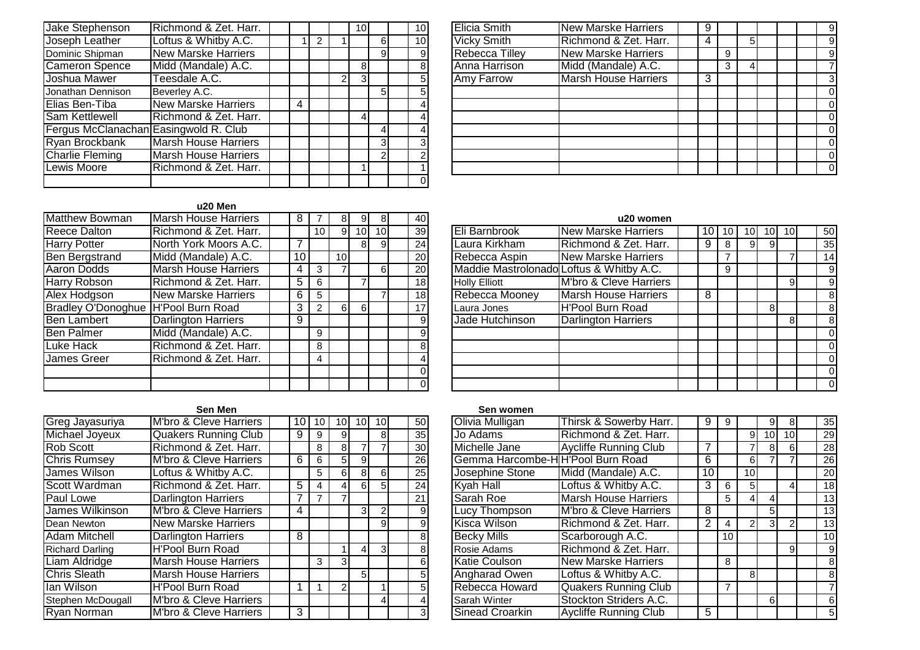| Jake Stephenson                       | Richmond & Zet. Harr.       |   |   | 10 <sup>1</sup> |   | 10 <sup>1</sup> | <b>Elicia Smith</b>   | <b>New Marske Harriers</b> |
|---------------------------------------|-----------------------------|---|---|-----------------|---|-----------------|-----------------------|----------------------------|
| Joseph Leather                        | Loftus & Whitby A.C.        |   |   |                 | 6 | 10              | <b>Vicky Smith</b>    | Richmond & Zet. Har        |
| Dominic Shipman                       | <b>New Marske Harriers</b>  |   |   |                 |   | 91              | <b>Rebecca Tilley</b> | <b>New Marske Harriers</b> |
| <b>Cameron Spence</b>                 | Midd (Mandale) A.C.         |   |   | 81              |   | 81              | Anna Harrison         | Midd (Mandale) A.C.        |
| Joshua Mawer                          | Teesdale A.C.               |   | 2 | 31              |   | 51              | <b>Amy Farrow</b>     | <b>Marsh House Harrier</b> |
| Jonathan Dennison                     | Beverley A.C.               |   |   |                 | 5 |                 |                       |                            |
| Elias Ben-Tiba                        | <b>New Marske Harriers</b>  | 4 |   |                 |   |                 |                       |                            |
| <b>Sam Kettlewell</b>                 | Richmond & Zet. Harr.       |   |   | 41              |   |                 |                       |                            |
| Fergus McClanachan Easingwold R. Club |                             |   |   |                 |   |                 |                       |                            |
| Ryan Brockbank                        | <b>Marsh House Harriers</b> |   |   |                 |   |                 |                       |                            |
| <b>Charlie Fleming</b>                | Marsh House Harriers        |   |   |                 |   |                 |                       |                            |
| Lewis Moore                           | Richmond & Zet. Harr.       |   |   |                 |   |                 |                       |                            |
|                                       |                             |   |   |                 |   | 01              |                       |                            |

|                | 10 <sup>1</sup> | <b>Elicia Smith</b>   | <b>New Marske Harriers</b>  | 9 |   |   |  | 9 |
|----------------|-----------------|-----------------------|-----------------------------|---|---|---|--|---|
| 6              | 10 <sup>1</sup> | <b>Vicky Smith</b>    | Richmond & Zet. Harr.       | 4 |   | 5 |  | 9 |
| 9              | 9               | <b>Rebecca Tilley</b> | <b>New Marske Harriers</b>  |   | 9 |   |  | 9 |
|                | 8               | Anna Harrison         | Midd (Mandale) A.C.         |   | 3 | 4 |  |   |
|                | 5               | Amy Farrow            | <b>Marsh House Harriers</b> | 3 |   |   |  |   |
| 5              | 5               |                       |                             |   |   |   |  |   |
|                | 4               |                       |                             |   |   |   |  |   |
|                | 4               |                       |                             |   |   |   |  |   |
| 4              | 4               |                       |                             |   |   |   |  |   |
| 3              | 3               |                       |                             |   |   |   |  |   |
| $\overline{2}$ | າ               |                       |                             |   |   |   |  |   |
|                |                 |                       |                             |   |   |   |  |   |

## **u20 Men**

| Matthew Bowman                      | Marsh House Harriers        | 8  |                 | 81              | 91              | 81              | 40              | u20 wome                                      |
|-------------------------------------|-----------------------------|----|-----------------|-----------------|-----------------|-----------------|-----------------|-----------------------------------------------|
| <b>Reece Dalton</b>                 | Richmond & Zet. Harr.       |    | 10 <sup>1</sup> | 9               | 10 <sup>1</sup> | 10 <sup>1</sup> | 39              | Eli Barnbrook<br><b>New Marske Harriers</b>   |
| <b>Harry Potter</b>                 | North York Moors A.C.       |    |                 |                 | 81              |                 | 24              | Laura Kirkham<br>Richmond & Zet. Har          |
| <b>Ben Bergstrand</b>               | Midd (Mandale) A.C.         | 10 |                 | 10 <sup>1</sup> |                 |                 | 20 <sub>l</sub> | Rebecca Aspin<br><b>New Marske Harriers</b>   |
| Aaron Dodds                         | <b>Marsh House Harriers</b> | 4  | 3               |                 |                 |                 | 20              | Maddie Mastrolonado Loftus & Whitby A.C.      |
| <b>Harry Robson</b>                 | Richmond & Zet. Harr.       | 5  | 6               |                 |                 |                 | 18 <sup>1</sup> | M'bro & Cleve Harrier<br><b>Holly Elliott</b> |
| Alex Hodgson                        | <b>New Marske Harriers</b>  | 6  | 5               |                 |                 |                 | 18              | Rebecca Mooney<br><b>Marsh House Harrier</b>  |
| Bradley O'Donoghue H'Pool Burn Road |                             | 3  | 2               | 61              | -61             |                 | 17              | H'Pool Burn Road<br>Laura Jones               |
| <b>Ben Lambert</b>                  | Darlington Harriers         | 9  |                 |                 |                 |                 | 91              | Jade Hutchinson<br><b>Darlington Harriers</b> |
| <b>Ben Palmer</b>                   | Midd (Mandale) A.C.         |    | 9               |                 |                 |                 |                 |                                               |
| Luke Hack                           | Richmond & Zet. Harr.       |    | 8               |                 |                 |                 | 8               |                                               |
| <b>James Greer</b>                  | Richmond & Zet. Harr.       |    | 4               |                 |                 |                 |                 |                                               |
|                                     |                             |    |                 |                 |                 |                 |                 |                                               |
|                                     |                             |    |                 |                 |                 |                 | 01              |                                               |

| 8              | 9  | 8               | 40              |                                          | u20 women                   |    |    |    |              |    |    |
|----------------|----|-----------------|-----------------|------------------------------------------|-----------------------------|----|----|----|--------------|----|----|
| 9              | 10 | 10 <sup>1</sup> | 39              | Eli Barnbrook                            | <b>New Marske Harriers</b>  | 10 | 10 | 10 | ا 0          | 10 | 50 |
|                | 8  | $\overline{9}$  | 24              | Laura Kirkham                            | Richmond & Zet. Harr.       | 9  | 8  | 9  | 9            |    | 35 |
| 0              |    |                 | 20 <sub>l</sub> | Rebecca Aspin                            | <b>New Marske Harriers</b>  |    |    |    |              |    | 14 |
| $\overline{7}$ |    | 6               | 20              | Maddie Mastrolonado Loftus & Whitby A.C. |                             |    | 9  |    |              |    | 9  |
|                |    |                 | 18              | <b>Holly Elliott</b>                     | M'bro & Cleve Harriers      |    |    |    |              | 9  | 9  |
|                |    |                 | 18              | Rebecca Mooney                           | <b>Marsh House Harriers</b> | 8  |    |    |              |    | 8  |
| 61             | 6  |                 | 17 <sup>1</sup> | Laura Jones                              | <b>H'Pool Burn Road</b>     |    |    |    | $\mathsf{B}$ |    | 8  |
|                |    |                 | 9               | Jade Hutchinson                          | <b>Darlington Harriers</b>  |    |    |    |              | 8  | 8  |
|                |    |                 | 9               |                                          |                             |    |    |    |              |    | 0  |
|                |    |                 | 8               |                                          |                             |    |    |    |              |    | 0  |
|                |    |                 |                 |                                          |                             |    |    |    |              |    | 0  |
|                |    |                 | $\Omega$        |                                          |                             |    |    |    |              |    | 0  |
|                |    |                 | 0               |                                          |                             |    |    |    |              |    | 0  |

|                        | Sen Men                           |                |    |                 |                |                 |                 | Sen women                         |                              |
|------------------------|-----------------------------------|----------------|----|-----------------|----------------|-----------------|-----------------|-----------------------------------|------------------------------|
| Greg Jayasuriya        | M'bro & Cleve Harriers            | 10 I           | 10 | 10 <sub>1</sub> | 10I            | 10 <sup>1</sup> | 50 <sup>I</sup> | Olivia Mulligan                   | Thirsk & Sowerby Harr.       |
| Michael Joyeux         | <b>Quakers Running Club</b>       | 9              | 9  | 9               |                | 8               | 35              | Jo Adams                          | Richmond & Zet. Harr.        |
| Rob Scott              | Richmond & Zet. Harr.             |                | 8  | 81              |                |                 | 30 <sup>°</sup> | Michelle Jane                     | <b>Aycliffe Running Club</b> |
| <b>Chris Rumsey</b>    | M'bro & Cleve Harriers            | 6              | 6  | 51              | 9 <sub>l</sub> |                 | 26              | Gemma Harcombe-H H'Pool Burn Road |                              |
| James Wilson           | Loftus & Whitby A.C.              |                | 5. | 61              | 81             | 6               | 25              | Josephine Stone                   | Midd (Mandale) A.C.          |
| Scott Wardman          | Richmond & Zet. Harr.             | 5              | 4  | 41              | 6I             | 5               | 24              | Kyah Hall                         | Loftus & Whitby A.C.         |
| Paul Lowe              | <b>Darlington Harriers</b>        |                | 7  |                 |                |                 | 21              | Sarah Roe                         | <b>Marsh House Harriers</b>  |
| James Wilkinson        | M'bro & Cleve Harriers            | $\overline{4}$ |    |                 | 3 <sup>l</sup> |                 | 9               | Lucy Thompson                     | M'bro & Cleve Harriers       |
| Dean Newton            | <b>New Marske Harriers</b>        |                |    |                 |                | 9               | 9               | <b>Kisca Wilson</b>               | Richmond & Zet. Harr.        |
| Adam Mitchell          | <b>Darlington Harriers</b>        | 8              |    |                 |                |                 | 8               | <b>Becky Mills</b>                | Scarborough A.C.             |
| <b>Richard Darling</b> | <b>H'Pool Burn Road</b>           |                |    |                 | 41             | 3               | 8               | <b>Rosie Adams</b>                | Richmond & Zet. Harr.        |
| Liam Aldridge          | <b>Marsh House Harriers</b>       |                | 3  | 31              |                |                 | 6               | <b>Katie Coulson</b>              | <b>New Marske Harriers</b>   |
| <b>Chris Sleath</b>    | <b>Marsh House Harriers</b>       |                |    |                 | 5 <sup>1</sup> |                 | 5               | Angharad Owen                     | Loftus & Whitby A.C.         |
| lan Wilson             | <b>H'Pool Burn Road</b>           |                |    | 21              |                |                 | 5               | Rebecca Howard                    | <b>Quakers Running Club</b>  |
| Stephen McDougall      | M'bro & Cleve Harriers            |                |    |                 |                | 4               | 4               | Sarah Winter                      | Stockton Striders A.C.       |
| Ryan Norman            | <b>M'bro &amp; Cleve Harriers</b> | 3              |    |                 |                |                 |                 | Sinead Croarkin                   | <b>Aycliffe Running Club</b> |

#### **Sen women**

| 01 | 101 | 101            | 50I             | Olivia Mulligan                  | Thirsk & Sowerby Harr.       | 9  | 9  |                | 9               | 8               | 35              |
|----|-----|----------------|-----------------|----------------------------------|------------------------------|----|----|----------------|-----------------|-----------------|-----------------|
| 9  |     | 8              | 35              | Jo Adams                         | Richmond & Zet. Harr.        |    |    | 9              | 10 <sup>1</sup> | 10 <sup>1</sup> | 29              |
| 8  |     |                | 30 <sup>1</sup> | Michelle Jane                    | <b>Aycliffe Running Club</b> |    |    |                | $\mathsf{B}$    | 6               | 28              |
| 5  | 9   |                | 26              | Gemma Harcombe-HH'Pool Burn Road |                              | 6  |    | 6              |                 |                 | 26              |
| 6  | 8   | 6              | 25              | Josephine Stone                  | Midd (Mandale) A.C.          | 10 |    | 10             |                 |                 | 20 <sup>1</sup> |
|    | 61  | 5              | 24              | <b>Kyah Hall</b>                 | Loftus & Whitby A.C.         | 3  | 6  | 5              |                 | 4               | 18              |
|    |     |                | 21              | Sarah Roe                        | <b>Marsh House Harriers</b>  |    | 5  | 4              | 4               |                 | 13              |
|    | 3   | 2              | $\overline{9}$  | Lucy Thompson                    | M'bro & Cleve Harriers       | 8  |    |                | 5               |                 | 13              |
|    |     | $\overline{9}$ | $\overline{9}$  | <b>Kisca Wilson</b>              | Richmond & Zet. Harr.        | 2  | 4  | $\mathfrak{p}$ | $\mathbf{3}$    | 2               | 13              |
|    |     |                | 8               | <b>Becky Mills</b>               | Scarborough A.C.             |    | 10 |                |                 |                 | 10 <sup>1</sup> |
|    |     | $\overline{3}$ | 8               | Rosie Adams                      | Richmond & Zet. Harr.        |    |    |                |                 | 9               | $\overline{9}$  |
|    |     |                | $6 \mid$        | Katie Coulson                    | <b>New Marske Harriers</b>   |    | 8  |                |                 |                 | 8 <sup>1</sup>  |
|    | 5   |                | 5               | <b>Angharad Owen</b>             | Loftus & Whitby A.C.         |    |    | 8              |                 |                 | 8 <sup>1</sup>  |
|    |     |                | 5               | Rebecca Howard                   | <b>Quakers Running Club</b>  |    | 7  |                |                 |                 | $\overline{7}$  |
|    |     | 4              |                 | Sarah Winter                     | Stockton Striders A.C.       |    |    |                | 6               |                 | 6               |
|    |     |                | $\mathbf{3}$    | <b>Sinead Croarkin</b>           | <b>Aycliffe Running Club</b> | 5  |    |                |                 |                 | 5 <sub>5</sub>  |
|    |     |                |                 |                                  |                              |    |    |                |                 |                 |                 |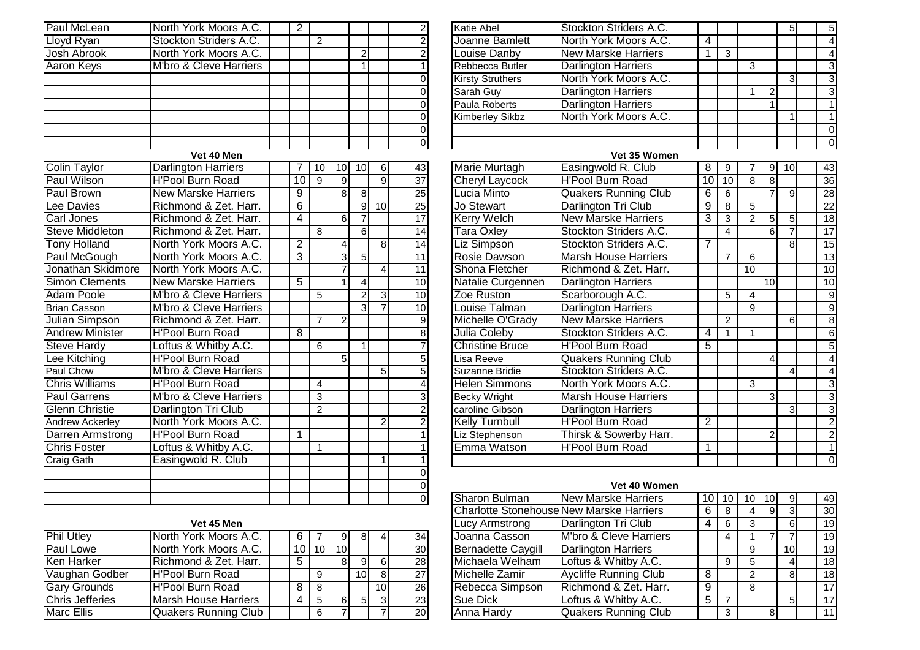| Paul McLean            | North York Moors A.C.             | $\overline{2}$ |                |                           |                |                |                             |
|------------------------|-----------------------------------|----------------|----------------|---------------------------|----------------|----------------|-----------------------------|
| Lloyd Ryan             | Stockton Striders A.C.            |                | $\overline{2}$ |                           |                |                | $\frac{2}{2}$               |
| <b>Josh Abrook</b>     | North York Moors A.C.             |                |                |                           | $\overline{c}$ |                |                             |
| <b>Aaron Keys</b>      | <b>M'bro &amp; Cleve Harriers</b> |                |                |                           | 1              |                |                             |
|                        |                                   |                |                |                           |                |                | $\overline{0}$              |
|                        |                                   |                |                |                           |                |                | $\overline{0}$              |
|                        |                                   |                |                |                           |                |                | $\overline{0}$              |
|                        |                                   |                |                |                           |                |                | $\overline{0}$              |
|                        |                                   |                |                |                           |                |                | $\overline{0}$              |
|                        |                                   |                |                |                           |                |                | $\overline{0}$              |
|                        | Vet 40 Men                        |                |                |                           |                |                |                             |
| Colin Taylor           | <b>Darlington Harriers</b>        | $\overline{7}$ | 10             | 10                        | 10             | 6 <sup>1</sup> | 43                          |
| <b>Paul Wilson</b>     | <b>H'Pool Burn Road</b>           | 10             | 9              | 9                         |                | 9              | $\overline{37}$             |
| <b>Paul Brown</b>      | <b>New Marske Harriers</b>        | 9              |                | 8                         | 8              |                | 25                          |
| Lee Davies             | Richmond & Zet. Harr.             | $\overline{6}$ |                |                           | 9              | 10             | 25                          |
| Carl Jones             | Richmond & Zet. Harr.             | 4              |                | 6                         | $\overline{7}$ |                | $\overline{17}$             |
| <b>Steve Middleton</b> | Richmond & Zet. Harr.             |                | 8              |                           | $\overline{6}$ |                | 14                          |
| <b>Tony Holland</b>    | North York Moors A.C.             | $\overline{2}$ |                | 4                         |                | $\overline{8}$ | 14                          |
| Paul McGough           | North York Moors A.C.             | 3              |                | $\overline{\overline{3}}$ | $\overline{5}$ |                | 11                          |
| Jonathan Skidmore      | North York Moors A.C.             |                |                | $\overline{7}$            |                | $\overline{4}$ | $\overline{11}$             |
| <b>Simon Clements</b>  | <b>New Marske Harriers</b>        | $\overline{5}$ |                | 1                         | 4              |                | 10                          |
| <b>Adam Poole</b>      | <b>M'bro &amp; Cleve Harriers</b> |                | 5              |                           | $\overline{2}$ | $\overline{3}$ | 10                          |
| <b>Brian Casson</b>    | M'bro & Cleve Harriers            |                |                |                           | 3              | 7              | 10                          |
| <b>Julian Simpson</b>  | Richmond & Zet. Harr.             |                | $\overline{7}$ | $\overline{2}$            |                |                | $\overline{9}$              |
| <b>Andrew Minister</b> | <b>H'Pool Burn Road</b>           | 8              |                |                           |                |                |                             |
| <b>Steve Hardy</b>     | Loftus & Whitby A.C.              |                | 6              |                           | $\overline{1}$ |                |                             |
| Lee Kitching           | <b>H'Pool Burn Road</b>           |                |                | 5                         |                |                | $\frac{8}{7}$ $\frac{7}{5}$ |
| Paul Chow              | M'bro & Cleve Harriers            |                |                |                           |                | 5              |                             |
| <b>Chris Williams</b>  | <b>H'Pool Burn Road</b>           |                | 4              |                           |                |                | $\overline{4}$              |
| <b>Paul Garrens</b>    | M'bro & Cleve Harriers            |                | 3              |                           |                |                | $\frac{3}{2}$               |
| <b>Glenn Christie</b>  | Darlington Tri Club               |                | $\overline{2}$ |                           |                |                |                             |
| Andrew Ackerley        | North York Moors A.C.             |                |                |                           |                | $\overline{2}$ | $\overline{2}$              |
| Darren Armstrong       | <b>H'Pool Burn Road</b>           | 1              |                |                           |                |                | $\overline{1}$              |
| <b>Chris Foster</b>    | Loftus & Whitby A.C.              |                | 1              |                           |                |                | $\overline{1}$              |
| <b>Craig Gath</b>      | Easingwold R. Club                |                |                |                           |                | 1              | $\overline{1}$              |
|                        |                                   |                |                |                           |                |                | $\overline{0}$              |
|                        |                                   |                |                |                           |                |                | $\overline{0}$              |
|                        |                                   |                |                |                           |                |                | $\overline{0}$              |

|                |                | $\overline{2}$  | <b>Katie Abel</b>       | Stockton Striders A.C.      |                 |                |                |                | 5              | $\sqrt{5}$      |
|----------------|----------------|-----------------|-------------------------|-----------------------------|-----------------|----------------|----------------|----------------|----------------|-----------------|
|                |                | $\overline{2}$  | Joanne Bamlett          | North York Moors A.C.       | $\overline{4}$  |                |                |                |                | $\vert 4 \vert$ |
| $\overline{2}$ |                | $\overline{2}$  | <b>Louise Danby</b>     | <b>New Marske Harriers</b>  | 1               | 3              |                |                |                | $\overline{4}$  |
|                |                | 1               | Rebbecca Butler         | <b>Darlington Harriers</b>  |                 |                | 3              |                |                | $\overline{3}$  |
|                |                | $\mathbf 0$     | <b>Kirsty Struthers</b> | North York Moors A.C.       |                 |                |                |                | 3              | $\overline{3}$  |
|                |                | $\mathbf 0$     | Sarah Guy               | <b>Darlington Harriers</b>  |                 |                |                | $\overline{2}$ |                | $\overline{3}$  |
|                |                | $\overline{0}$  | <b>Paula Roberts</b>    | <b>Darlington Harriers</b>  |                 |                |                | 1              |                | $\overline{1}$  |
|                |                | $\overline{0}$  | Kimberley Sikbz         | North York Moors A.C.       |                 |                |                |                | 1              | $\overline{1}$  |
|                |                | $\overline{0}$  |                         |                             |                 |                |                |                |                | $\overline{0}$  |
|                |                | $\overline{0}$  |                         |                             |                 |                |                |                |                | $\overline{0}$  |
|                |                |                 |                         | Vet 35 Women                |                 |                |                |                |                |                 |
| 0              | $6 \,$         | 43              | Marie Murtagh           | Easingwold R. Club          | 8               | 9              | 7              | 9              | 10             | 43              |
|                | $\overline{9}$ | $\overline{37}$ | <b>Cheryl Laycock</b>   | <b>H'Pool Burn Road</b>     | $\overline{10}$ | 10             | $\overline{8}$ | $\overline{8}$ |                | 36              |
| 8              |                | 25              | Lucia Minto             | <b>Quakers Running Club</b> | 6               | 6              |                | $\overline{7}$ | $\overline{9}$ | 28              |
| $\frac{1}{9}$  | 10             | $\overline{25}$ | Jo Stewart              | Darlington Tri Club         | $\overline{9}$  | $\overline{8}$ | $\overline{5}$ |                |                | $\overline{22}$ |
|                |                | $\overline{17}$ | <b>Kerry Welch</b>      | <b>New Marske Harriers</b>  | 3               | $\overline{3}$ | $\overline{2}$ | $\overline{5}$ | $\overline{5}$ | $\overline{18}$ |
| 6              |                | 14              | <b>Tara Oxley</b>       | Stockton Striders A.C.      |                 | $\overline{4}$ |                | 6              | $\overline{7}$ | 17              |
|                | $\overline{8}$ | 14              | Liz Simpson             | Stockton Striders A.C.      | 7               |                |                |                | $\overline{8}$ | 15              |
| $\overline{5}$ |                | $\overline{11}$ | <b>Rosie Dawson</b>     | <b>Marsh House Harriers</b> |                 | $\overline{7}$ | 6              |                |                | 13              |
|                | 4              | 11              | Shona Fletcher          | Richmond & Zet. Harr.       |                 |                | 10             |                |                | 10              |
|                |                | 10              | Natalie Curgennen       | <b>Darlington Harriers</b>  |                 |                |                | 10             |                | 10              |
| $\frac{4}{2}$  | $\overline{3}$ | 10              | Zoe Ruston              | Scarborough A.C.            |                 | 5              | 4              |                |                | $\overline{9}$  |
|                | $\overline{7}$ | $\overline{10}$ | Louise Talman           | <b>Darlington Harriers</b>  |                 |                | $\overline{9}$ |                |                | $\overline{9}$  |
|                |                | $\overline{9}$  | Michelle O'Grady        | <b>New Marske Harriers</b>  |                 | $\overline{2}$ |                |                | 6              | $\overline{8}$  |
|                |                | $\overline{8}$  | Julia Coleby            | Stockton Striders A.C.      | $\overline{4}$  | $\mathbf{1}$   | 1              |                |                | $6\overline{6}$ |
| 1              |                | $\overline{7}$  | <b>Christine Bruce</b>  | <b>H'Pool Burn Road</b>     | 5               |                |                |                |                | 5               |
|                |                | 5               | Lisa Reeve              | <b>Quakers Running Club</b> |                 |                |                | $\overline{4}$ |                | $\overline{4}$  |
|                | $\overline{5}$ | $\overline{5}$  | Suzanne Bridie          | Stockton Striders A.C.      |                 |                |                |                | 4              | $\overline{4}$  |
|                |                | $\overline{4}$  | <b>Helen Simmons</b>    | North York Moors A.C.       |                 |                | 3              |                |                | $\overline{3}$  |
|                |                | $\overline{3}$  | <b>Becky Wright</b>     | <b>Marsh House Harriers</b> |                 |                |                | 3              |                | $\frac{3}{3}$   |
|                |                | $\overline{2}$  | caroline Gibson         | <b>Darlington Harriers</b>  |                 |                |                |                | $\overline{3}$ |                 |
|                | $\overline{2}$ | $\overline{2}$  | <b>Kelly Turnbull</b>   | <b>H'Pool Burn Road</b>     | $\overline{2}$  |                |                |                |                | $\frac{2}{2}$   |
|                |                | $\overline{1}$  | Liz Stephenson          | Thirsk & Sowerby Harr.      |                 |                |                | $\overline{2}$ |                |                 |
|                |                | 1               | Emma Watson             | <b>H'Pool Burn Road</b>     | 1               |                |                |                |                | $\overline{1}$  |
|                | $\mathbf{1}$   | 1               |                         |                             |                 |                |                |                |                | $\overline{0}$  |

## **Vet 45 Men**

| <b>Phil Utley</b>      | North York Moors A.C. | 6 |         | 91              |     |     | 34 | Joanna Casson      | M'bro & Cleve Hari  |
|------------------------|-----------------------|---|---------|-----------------|-----|-----|----|--------------------|---------------------|
| <b>Paul Lowe</b>       | North York Moors A.C. |   | $10$ 10 | 10 <sup>1</sup> |     |     | 30 | Bernadette Caygill | Darlington Harriers |
| Ken Harker             | Richmond & Zet. Harr. |   |         |                 |     |     | 28 | Michaela Welham    | Loftus & Whitby A.  |
| Vaughan Godber         | IH'Pool Burn Road     |   | 9       |                 | 10I |     | 27 | Michelle Zamir     | Aycliffe Running Cl |
| <b>Gary Grounds</b>    | H'Pool Burn Road      |   | 8       |                 |     | 10I | 26 | Rebecca Simpson    | Richmond & Zet. H   |
| <b>Chris Jefferies</b> | Marsh House Harriers  |   | 5       | 61              | .5I |     | 23 | <b>Sue Dick</b>    | Loftus & Whitby A.  |
| <b>Marc Ellis</b>      | Quakers Running Club  |   | 6       |                 |     |     | 20 | Anna Hardy         | Quakers Running (   |

|      |                 |                |                 |                 |                           | Vet 40 Women                                    |    |    |                 |                 |                 |    |
|------|-----------------|----------------|-----------------|-----------------|---------------------------|-------------------------------------------------|----|----|-----------------|-----------------|-----------------|----|
|      |                 |                |                 |                 | Sharon Bulman             | <b>New Marske Harriers</b>                      | 10 | 10 | 10 <sub>l</sub> | 10 <sub>1</sub> | 9               | 49 |
|      |                 |                |                 |                 |                           | <b>Charlotte Stonehouse New Marske Harriers</b> | 6  | 8  |                 | 9 <sub>l</sub>  |                 | 30 |
|      |                 |                |                 |                 | Lucy Armstrong            | Darlington Tri Club                             | 4  | 6  |                 |                 | 6               | 19 |
|      | 91              | 81             |                 | 34              | Joanna Casson             | <b>M'bro &amp; Cleve Harriers</b>               |    | 4  |                 |                 |                 | 19 |
| ا ١٥ | 10 <sup>1</sup> |                |                 | 30 <sub>l</sub> | <b>Bernadette Caygill</b> | <b>Darlington Harriers</b>                      |    |    | 9               |                 | 10 <sub>1</sub> | 19 |
|      | 8               | 9              | 6               | 28              | Michaela Welham           | Loftus & Whitby A.C.                            |    | 9  | 5               |                 |                 | 18 |
| 9    |                 | 10             | 8               | 27              | Michelle Zamir            | <b>Aycliffe Running Club</b>                    | 8  |    | າ               |                 | 8               | 18 |
| 8    |                 |                | 10 <sup>1</sup> | <b>26</b>       | Rebecca Simpson           | Richmond & Zet. Harr.                           | 9  |    | 8               |                 |                 | 17 |
| 5    | 61              | 5 <sub>l</sub> | 3               | 23              | <b>Sue Dick</b>           | Loftus & Whitby A.C.                            | 5  | 7  |                 |                 | 5               | 17 |
| 6    |                 |                |                 | <b>20</b>       | Anna Hardy                | <b>Quakers Running Club</b>                     |    | 3  |                 | 8               |                 | 11 |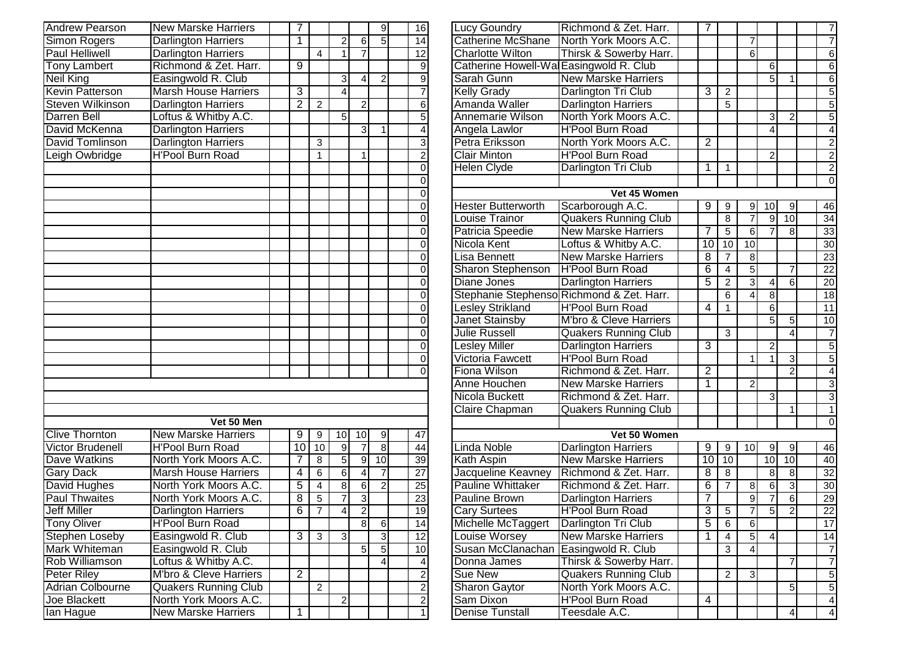| <b>Andrew Pearson</b>   | <b>New Marske Harriers</b>  | 7               |                |                         |                          | $\overline{9}$   | 16               |
|-------------------------|-----------------------------|-----------------|----------------|-------------------------|--------------------------|------------------|------------------|
| <b>Simon Rogers</b>     | <b>Darlington Harriers</b>  | 1               |                | $\overline{2}$          | 6                        | 5                | 14               |
| <b>Paul Helliwell</b>   | Darlington Harriers         |                 | $\overline{4}$ | 1                       | $\overline{7}$           |                  | 12               |
| <b>Tony Lambert</b>     | Richmond & Zet. Harr.       | 9               |                |                         |                          |                  | 9                |
| Neil King               | Easingwold R. Club          |                 |                | 3                       | 4                        | $\boldsymbol{2}$ | $\overline{9}$   |
| <b>Kevin Patterson</b>  | <b>Marsh House Harriers</b> | $\overline{3}$  |                | $\overline{4}$          |                          |                  | $\overline{7}$   |
| <b>Steven Wilkinson</b> | <b>Darlington Harriers</b>  | $\overline{2}$  | $\overline{2}$ |                         | $\overline{2}$           |                  | $\overline{6}$   |
| <b>Darren Bell</b>      | Loftus & Whitby A.C.        |                 |                | 5                       |                          |                  | 5                |
| David McKenna           | <b>Darlington Harriers</b>  |                 |                |                         | 3                        | 1                | $\overline{4}$   |
| David Tomlinson         | <b>Darlington Harriers</b>  |                 | 3              |                         |                          |                  | $\overline{3}$   |
| Leigh Owbridge          | <b>H'Pool Burn Road</b>     |                 | 1              |                         | 1                        |                  | $\overline{2}$   |
|                         |                             |                 |                |                         |                          |                  | $\overline{0}$   |
|                         |                             |                 |                |                         |                          |                  | $\overline{0}$   |
|                         |                             |                 |                |                         |                          |                  | $\overline{0}$   |
|                         |                             |                 |                |                         |                          |                  | $\overline{0}$   |
|                         |                             |                 |                |                         |                          |                  | $\overline{0}$   |
|                         |                             |                 |                |                         |                          |                  | $\overline{0}$   |
|                         |                             |                 |                |                         |                          |                  | $\overline{0}$   |
|                         |                             |                 |                |                         |                          |                  | $\overline{0}$   |
|                         |                             |                 |                |                         |                          |                  | $\overline{0}$   |
|                         |                             |                 |                |                         |                          |                  | $\overline{0}$   |
|                         |                             |                 |                |                         |                          |                  | $\overline{0}$   |
|                         |                             |                 |                |                         |                          |                  | $\overline{0}$   |
|                         |                             |                 |                |                         |                          |                  | $\overline{0}$   |
|                         |                             |                 |                |                         |                          |                  | $\overline{0}$   |
|                         |                             |                 |                |                         |                          |                  | $\boldsymbol{0}$ |
|                         |                             |                 |                |                         |                          |                  | 0                |
|                         |                             |                 |                |                         |                          |                  | 0                |
|                         |                             |                 |                |                         |                          |                  |                  |
|                         |                             |                 |                |                         |                          |                  |                  |
|                         |                             |                 |                |                         |                          |                  |                  |
|                         | Vet 50 Men                  |                 |                |                         |                          |                  |                  |
| <b>Clive Thornton</b>   | <b>New Marske Harriers</b>  | 9               | 9              | 10                      | 10                       | 9                | 47               |
| <b>Victor Brudenell</b> | <b>H'Pool Burn Road</b>     | $\overline{10}$ | 10             | 9                       | $\overline{7}$           | $\overline{8}$   | 44               |
| Dave Watkins            | North York Moors A.C.       | 7               | 8              | 5                       | $\overline{9}$           | 10               | 39               |
| <b>Gary Dack</b>        | <b>Marsh House Harriers</b> | 4               | 6              | 6                       | 4                        | $\overline{7}$   | 27               |
| David Hughes            | North York Moors A.C.       | $\overline{5}$  | $\overline{4}$ | 8                       | $\overline{6}$           | $\overline{2}$   | 25               |
| <b>Paul Thwaites</b>    | North York Moors A.C.       | 8               | $\overline{5}$ | $\overline{7}$          | $\overline{3}$<br>$\sim$ |                  | 23               |
| Jeff Miller             | Darlington Harriers         | $\overline{6}$  | $\overline{7}$ | $\overline{\mathbf{r}}$ | $\mathbf{z}$             |                  | 19               |
| <b>Tony Oliver</b>      | <b>H'Pool Burn Road</b>     |                 |                |                         | $\overline{8}$           | $6 \overline{6}$ | $\overline{14}$  |
| Stephen Loseby          | Easingwold R. Club          | 3               | 3              | 3                       |                          | 3                | 12               |
| Mark Whiteman           | Easingwold R. Club          |                 |                |                         | 5                        | 5                | 10               |
| Rob Williamson          | Loftus & Whitby A.C.        |                 |                |                         |                          | $\overline{4}$   | 4                |
| Peter Riley             | M'bro & Cleve Harriers      | $\overline{2}$  |                |                         |                          |                  | $\overline{2}$   |
| <b>Adrian Colbourne</b> | <b>Quakers Running Club</b> |                 | $\overline{c}$ |                         |                          |                  | $\overline{2}$   |
| Joe Blackett            | North York Moors A.C.       |                 |                | $\overline{c}$          |                          |                  | $\overline{2}$   |
| lan Hague               | <b>New Marske Harriers</b>  | $\overline{1}$  |                |                         |                          |                  | $\overline{1}$   |

|                | 9              | 16                      | Lucy Goundry                            | Richmond & Zet. Harr.                     | 7              |                |                |                 |                 | 7                       |
|----------------|----------------|-------------------------|-----------------------------------------|-------------------------------------------|----------------|----------------|----------------|-----------------|-----------------|-------------------------|
| 6              | $\overline{5}$ | 14                      | <b>Catherine McShane</b>                | North York Moors A.C.                     |                |                | 7              |                 |                 | $\overline{7}$          |
|                |                | 12                      | <b>Charlotte Wilton</b>                 | Thirsk & Sowerby Harr.                    |                |                | $\overline{6}$ |                 |                 | $6 \overline{}$         |
|                |                | $\boldsymbol{9}$        | Catherine Howell-Wal Easingwold R. Club |                                           |                |                |                | 6               |                 | $\overline{6}$          |
| 4              | $\overline{c}$ | $\overline{9}$          | Sarah Gunn                              | <b>New Marske Harriers</b>                |                |                |                | $\overline{5}$  | $\mathbf{1}$    | $\overline{6}$          |
|                |                | $\overline{7}$          | <b>Kelly Grady</b>                      | Darlington Tri Club                       | 3              | $\overline{2}$ |                |                 |                 | $\overline{5}$          |
| $\overline{2}$ |                | $\overline{6}$          | Amanda Waller                           | <b>Darlington Harriers</b>                |                | $\overline{5}$ |                |                 |                 | $\overline{5}$          |
|                |                | $\overline{5}$          | Annemarie Wilson                        | North York Moors A.C.                     |                |                |                | 3               | $\overline{2}$  | $\overline{5}$          |
| 3              | $\mathbf{1}$   | $\overline{4}$          | Angela Lawlor                           | <b>H'Pool Burn Road</b>                   |                |                |                | 4               |                 | $\overline{4}$          |
|                |                | $\overline{3}$          | Petra Eriksson                          | North York Moors A.C.                     | $\overline{2}$ |                |                |                 |                 | $\overline{2}$          |
| 1              |                | $\overline{2}$          | <b>Clair Minton</b>                     | <b>H'Pool Burn Road</b>                   |                |                |                | $\overline{2}$  |                 | $\overline{2}$          |
|                |                | $\overline{0}$          | Helen Clyde                             | Darlington Tri Club                       | 1              | 1              |                |                 |                 | $\overline{2}$          |
|                |                | 0                       |                                         |                                           |                |                |                |                 |                 | $\overline{0}$          |
|                |                | $\mathbf 0$             |                                         | Vet 45 Women                              |                |                |                |                 |                 |                         |
|                |                | $\mathbf 0$             | <b>Hester Butterworth</b>               | Scarborough A.C.                          | 9              | 9              | 9              | 10              | 9               | 46                      |
|                |                | $\mathbf 0$             | Louise Trainor                          | <b>Quakers Running Club</b>               |                | 8              | 7              | $\overline{9}$  | 10              | 34                      |
|                |                | $\overline{0}$          | Patricia Speedie                        | <b>New Marske Harriers</b>                | 7              | $\overline{5}$ | $\overline{6}$ | 7               | $\overline{8}$  | 33                      |
|                |                | $\overline{0}$          | Nicola Kent                             | Loftus & Whitby A.C.                      | 10             | 10             | 10             |                 |                 | 30                      |
|                |                | $\overline{0}$          | <b>Lisa Bennett</b>                     | <b>New Marske Harriers</b>                | 8              | $\overline{7}$ | 8              |                 |                 | 23                      |
|                |                | $\mathbf 0$             | Sharon Stephenson                       | <b>H'Pool Burn Road</b>                   | 6              | $\overline{4}$ | $\overline{5}$ |                 | $\overline{7}$  | $\overline{22}$         |
|                |                | $\overline{0}$          | <b>Diane Jones</b>                      | <b>Darlington Harriers</b>                | $\overline{5}$ | $\overline{2}$ | $\overline{3}$ | 4               | 6               | $\overline{20}$         |
|                |                | $\boldsymbol{0}$        |                                         | Stephanie Stephenso Richmond & Zet. Harr. |                | 6              | 4              | $\infty$        |                 | 18                      |
|                |                | $\mathbf 0$             | <b>Lesley Strikland</b>                 | <b>H'Pool Burn Road</b>                   | 4              | $\mathbf{1}$   |                | $6 \overline{}$ |                 | 11                      |
|                |                | $\overline{0}$          | Janet Stainsby                          | M'bro & Cleve Harriers                    |                |                |                | 5               | $\overline{5}$  | 10                      |
|                |                | $\overline{0}$          | <b>Julie Russell</b>                    | <b>Quakers Running Club</b>               |                | $\mathbf{3}$   |                |                 | $\overline{4}$  | $\overline{7}$          |
|                |                | $\overline{0}$          | <b>Lesley Miller</b>                    | <b>Darlington Harriers</b>                | 3              |                |                | $\overline{c}$  |                 | $\overline{5}$          |
|                |                | $\overline{0}$          | Victoria Fawcett                        | <b>H'Pool Burn Road</b>                   |                |                | 1              | 1               | 3               | $\overline{5}$          |
|                |                | $\Omega$                | <b>Fiona Wilson</b>                     | Richmond & Zet. Harr.                     | $\overline{2}$ |                |                |                 | $\overline{2}$  | $\overline{4}$          |
|                |                |                         | Anne Houchen                            | <b>New Marske Harriers</b>                | $\overline{1}$ |                | $\overline{2}$ |                 |                 | $\overline{3}$          |
|                |                |                         | Nicola Buckett                          | Richmond & Zet. Harr.                     |                |                |                | 3               |                 | $\overline{3}$          |
|                |                |                         | <b>Claire Chapman</b>                   | <b>Quakers Running Club</b>               |                |                |                |                 | $\mathbf{1}$    | $\mathbf{1}$            |
|                |                |                         |                                         |                                           |                |                |                |                 |                 | $\overline{0}$          |
| $\frac{0}{7}$  | 9              | 47                      |                                         | Vet 50 Women                              |                |                |                |                 |                 |                         |
|                | $\overline{8}$ | 44                      | Linda Noble                             | <b>Darlington Harriers</b>                | $\overline{9}$ | 9              | 10             | $\overline{9}$  | $\overline{9}$  | 46                      |
| 9              | 10             | 39                      | Kath Aspin                              | <b>New Marske Harriers</b>                | 10             | 10             |                | 10              | 10              | 40                      |
|                | $\overline{7}$ | 27                      | Jacqueline Keavney                      | Richmond & Zet. Harr.                     | 8              | 8              |                | $\overline{8}$  | $\overline{8}$  | $\overline{32}$         |
| $\frac{4}{2}$  | $\overline{2}$ | 25                      | <b>Pauline Whittaker</b>                | Richmond & Zet. Harr.                     | 6              | $\overline{7}$ | 8              | $6 \overline{}$ | $\overline{3}$  | 30                      |
|                |                | $\overline{23}$         | <b>Pauline Brown</b>                    | <b>Darlington Harriers</b>                | $\overline{7}$ |                | $\overline{9}$ | 7               | $\overline{6}$  | 29                      |
|                |                | 19                      | <b>Cary Surtees</b>                     | <b>H'Pool Burn Road</b>                   | 3              | 5              | 7              | $\overline{5}$  | $\overline{2}$  | 22                      |
| $\overline{8}$ | $6\phantom{.}$ | 14                      | Michelle McTaggert                      | Darlington Tri Club                       | 5              | 6              | 6              |                 |                 | 17                      |
|                | دن             | 12                      | Louise Worsey                           | <b>New Marske Harriers</b>                | 1              | 4              | 5              | 4               |                 | 14                      |
| 5              | $\overline{5}$ | 10                      | Susan McClanachan                       | Easingwold R. Club                        |                | $\mathbf{3}$   | 4              |                 |                 | $\overline{7}$          |
|                | $\overline{4}$ | $\overline{\mathbf{4}}$ | Donna James                             | Thirsk & Sowerby Harr.                    |                |                |                |                 | $\overline{7}$  | $\overline{7}$          |
|                |                | $\overline{2}$          | Sue New                                 | <b>Quakers Running Club</b>               |                | 2              | 3              |                 |                 | $\overline{5}$          |
|                |                | $\overline{2}$          | Sharon Gaytor                           | North York Moors A.C.                     |                |                |                |                 | 5               | $\overline{5}$          |
|                |                | $\overline{2}$          | Sam Dixon                               | <b>H'Pool Burn Road</b>                   | 4              |                |                |                 |                 | $\overline{4}$          |
|                |                | 1                       | <b>Denise Tunstall</b>                  | Teesdale A.C.                             |                |                |                |                 | $\vert 4 \vert$ | $\overline{\mathbf{A}}$ |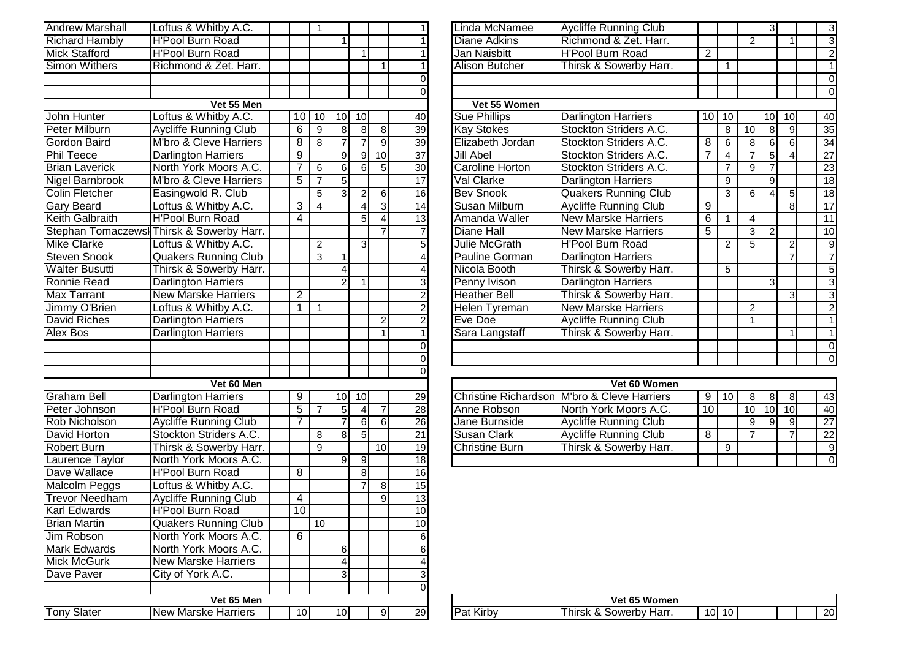| <b>Andrew Marshall</b> | Loftus & Whitby A.C.                      |                 | 1              |                |                 |                | 1                           |
|------------------------|-------------------------------------------|-----------------|----------------|----------------|-----------------|----------------|-----------------------------|
| <b>Richard Hambly</b>  | <b>H'Pool Burn Road</b>                   |                 |                | 1              |                 |                | $\overline{1}$              |
| <b>Mick Stafford</b>   | <b>H'Pool Burn Road</b>                   |                 |                |                | 1               |                | $\overline{1}$              |
| <b>Simon Withers</b>   | Richmond & Zet. Harr.                     |                 |                |                |                 | 1              | $\overline{1}$              |
|                        |                                           |                 |                |                |                 |                | $\overline{0}$              |
|                        |                                           |                 |                |                |                 |                | $\overline{0}$              |
|                        | Vet 55 Men                                |                 |                |                |                 |                |                             |
| John Hunter            | Loftus & Whitby A.C.                      | 10              | 10             | 10             | 10              |                | 40                          |
| <b>Peter Milburn</b>   | <b>Aycliffe Running Club</b>              | $\overline{6}$  | 9              | 8              | 8 <sup>1</sup>  | 8              | 39                          |
| <b>Gordon Baird</b>    | M'bro & Cleve Harriers                    | 8               | 8              | 7              | $\overline{7}$  | 9              | 39                          |
| Phil Teece             | <b>Darlington Harriers</b>                | $\overline{9}$  |                | $\overline{9}$ | $\overline{9}$  | 10             | $\overline{37}$             |
| <b>Brian Laverick</b>  | North York Moors A.C.                     | 7               | 6              | $\overline{6}$ | $6 \overline{}$ | 5              | 30 <sup>°</sup>             |
| <b>Nigel Barnbrook</b> | M'bro & Cleve Harriers                    | 5               | $\overline{7}$ | $\overline{5}$ |                 |                | $\overline{17}$             |
| <b>Colin Fletcher</b>  | Easingwold R. Club                        |                 | 5              | $\overline{3}$ | $\overline{2}$  | 6              | 16                          |
| <b>Gary Beard</b>      | Loftus & Whitby A.C.                      | 3               | 4              |                | $\vert 4 \vert$ | $\overline{3}$ | 14                          |
| <b>Keith Galbraith</b> | <b>H'Pool Burn Road</b>                   | 4               |                |                | $\overline{5}$  | $\overline{4}$ | $\overline{13}$             |
|                        | Stephan Tomaczewsł Thirsk & Sowerby Harr. |                 |                |                |                 | $\overline{7}$ | $\overline{7}$              |
| <b>Mike Clarke</b>     | Loftus & Whitby A.C.                      |                 | $\overline{c}$ |                | 3               |                | $\overline{5}$              |
| <b>Steven Snook</b>    | <b>Quakers Running Club</b>               |                 | 3              | $\mathbf{1}$   |                 |                | $\overline{4}$              |
| Walter Busutti         | Thirsk & Sowerby Harr.                    |                 |                | 4              |                 |                |                             |
| <b>Ronnie Read</b>     | <b>Darlington Harriers</b>                |                 |                | $\overline{2}$ | 1               |                |                             |
| <b>Max Tarrant</b>     | <b>New Marske Harriers</b>                | $\overline{2}$  |                |                |                 |                | $\frac{4}{2}$ $\frac{3}{2}$ |
| Jimmy O'Brien          | Loftus & Whitby A.C.                      | 1               | $\mathbf{1}$   |                |                 |                |                             |
| <b>David Riches</b>    | <b>Darlington Harriers</b>                |                 |                |                |                 | $\overline{2}$ | $\overline{2}$              |
| <b>Alex Bos</b>        | <b>Darlington Harriers</b>                |                 |                |                |                 | 1              | $\overline{1}$              |
|                        |                                           |                 |                |                |                 |                | $\overline{0}$              |
|                        |                                           |                 |                |                |                 |                | $\overline{0}$              |
|                        |                                           |                 |                |                |                 |                | $\overline{0}$              |
|                        | Vet 60 Men                                |                 |                |                |                 |                |                             |
| <b>Graham Bell</b>     | <b>Darlington Harriers</b>                | 9               |                | 10             | 10              |                | 29                          |
| Peter Johnson          | <b>H'Pool Burn Road</b>                   | 5               | $\overline{7}$ | 5              | $\vert 4 \vert$ | $\overline{7}$ | 28                          |
| Rob Nicholson          | <b>Aycliffe Running Club</b>              | 7               |                | $\overline{7}$ | $6\overline{6}$ | $\overline{6}$ | 26                          |
| David Horton           | Stockton Striders A.C.                    |                 | 8              | 8              | $\overline{5}$  |                | $\overline{21}$             |
| Robert Burn            | Thirsk & Sowerby Harr.                    |                 | 9              |                |                 | 10             | 19                          |
| Laurence Taylor        | North York Moors A.C.                     |                 |                | 9              | 9               |                | 18                          |
| Dave Wallace           | <b>H'Pool Burn Road</b>                   | 8               |                |                | 8               |                | 16                          |
| Malcolm Peggs          | Loftus & Whitby A.C.                      |                 |                |                | $\overline{7}$  | 8              | 15                          |
| <b>Trevor Needham</b>  | <b>Aycliffe Running Club</b>              | $\overline{4}$  |                |                |                 | $\overline{9}$ | $\overline{13}$             |
| <b>Karl Edwards</b>    | <b>H'Pool Burn Road</b>                   | $\overline{10}$ |                |                |                 |                | 10                          |
| <b>Brian Martin</b>    | <b>Quakers Running Club</b>               |                 | 10             |                |                 |                | 10                          |
| Jim Robson             | North York Moors A.C.                     | 6               |                |                |                 |                | 6                           |
| Mark Edwards           | North York Moors A.C.                     |                 |                | 6              |                 |                | 6                           |
| Mick McGurk            | <b>New Marske Harriers</b>                |                 |                | 4              |                 |                | $\overline{4}$              |
| Dave Paver             | City of York A.C.                         |                 |                | 3              |                 |                | $\overline{3}$              |
|                        |                                           |                 |                |                |                 |                | $\overline{0}$              |
|                        | Vet 65 Men                                |                 |                |                |                 |                |                             |
| <b>Tony Slater</b>     | <b>New Marske Harriers</b>                | 10              |                | 10             |                 | 9              | 29                          |

| <b>Andrew Marshall</b> | Loftus & Whitby A.C.                      |                |    |                |                |                 |                 | Linda McNamee          | <b>Aycliffe Running Club</b> |                |    |                 | 31              |                | $\mathbf{3}$    |
|------------------------|-------------------------------------------|----------------|----|----------------|----------------|-----------------|-----------------|------------------------|------------------------------|----------------|----|-----------------|-----------------|----------------|-----------------|
| <b>Richard Hambly</b>  | <b>H'Pool Burn Road</b>                   |                |    |                |                |                 |                 | <b>Diane Adkins</b>    | Richmond & Zet. Harr.        |                |    | $\overline{c}$  |                 |                | $\overline{3}$  |
| <b>Mick Stafford</b>   | <b>H'Pool Burn Road</b>                   |                |    |                |                |                 |                 | Jan Naisbitt           | <b>H'Pool Burn Road</b>      | 2              |    |                 |                 |                | $\overline{c}$  |
| <b>Simon Withers</b>   | Richmond & Zet. Harr.                     |                |    |                |                |                 |                 | <b>Alison Butcher</b>  | Thirsk & Sowerby Harr.       |                |    |                 |                 |                |                 |
|                        |                                           |                |    |                |                |                 |                 |                        |                              |                |    |                 |                 |                | 0               |
|                        |                                           |                |    |                |                |                 |                 |                        |                              |                |    |                 |                 |                | $\Omega$        |
|                        | Vet 55 Men                                |                |    |                |                |                 |                 | Vet 55 Women           |                              |                |    |                 |                 |                |                 |
| John Hunter            | Loftus & Whitby A.C.                      | 10 I           | 10 | 10I            | 10I            |                 | 40              | <b>Sue Phillips</b>    | <b>Darlington Harriers</b>   | 10             | 10 |                 | 10 <sup>1</sup> | 10             | 40              |
| <b>Peter Milburn</b>   | <b>Aycliffe Running Club</b>              | 6              | 9  |                |                |                 | 39              | <b>Kay Stokes</b>      | Stockton Striders A.C.       |                | 8  | $\overline{10}$ | 8               | $\overline{9}$ | 35              |
| Gordon Baird           | M'bro & Cleve Harriers                    | 8              | 8  |                |                | 9               | 39              | Elizabeth Jordan       | Stockton Striders A.C.       | 8              | 6  | 8               | 6               | 6 <sup>1</sup> | $\overline{34}$ |
| <b>Phil Teece</b>      | Darlington Harriers                       | 9              |    | 9              | $\mathfrak{g}$ | 10 <sup>1</sup> | 37              | <b>Jill Abel</b>       | Stockton Striders A.C.       | 7              | 4  |                 |                 |                | 27              |
| <b>Brian Laverick</b>  | North York Moors A.C.                     |                | 6  | 61             |                |                 | 30 <sup>°</sup> | <b>Caroline Horton</b> | Stockton Striders A.C.       |                |    | $\mathbf{Q}$    |                 |                | $\overline{23}$ |
| Nigel Barnbrook        | M'bro & Cleve Harriers                    | $\overline{5}$ |    | 51             |                |                 | 17              | Val Clarke             | <b>Darlington Harriers</b>   |                | 9  |                 | 9               |                | 18              |
| Colin Fletcher         | Easingwold R. Club                        |                | 5  | 3              |                | $6 \mid$        | 16              | <b>Bev Snook</b>       | <b>Quakers Running Club</b>  |                | 3  | 6               |                 | 5 <sub>l</sub> | $\overline{18}$ |
| <b>Gary Beard</b>      | Loftus & Whitby A.C.                      | 3              | 4  |                |                |                 |                 | Susan Milburn          | <b>Aycliffe Running Club</b> | 9              |    |                 |                 |                | $\overline{17}$ |
| Keith Galbraith        | <b>H'Pool Burn Road</b>                   | 4              |    |                |                |                 | 13              | Amanda Waller          | <b>New Marske Harriers</b>   | $\overline{6}$ |    |                 |                 |                | 11              |
|                        | Stephan Tomaczewsł Thirsk & Sowerby Harr. |                |    |                |                |                 |                 | <b>Diane Hall</b>      | <b>New Marske Harriers</b>   | 5              |    | 3               | $\mathcal{P}$   |                | 10              |
| Mike Clarke            | Loftus & Whitby A.C.                      |                | 2  |                | 31             |                 |                 | Julie McGrath          | H'Pool Burn Road             |                | 2  |                 |                 | $\overline{2}$ | 9               |
| <b>Steven Snook</b>    | <b>Quakers Running Club</b>               |                | 3  |                |                |                 |                 | Pauline Gorman         | <b>Darlington Harriers</b>   |                |    |                 |                 |                |                 |
| <b>Walter Busutti</b>  | Thirsk & Sowerby Harr.                    |                |    |                |                |                 |                 | Nicola Booth           | Thirsk & Sowerby Harr.       |                | 5  |                 |                 |                | 5               |
| Ronnie Read            | <b>Darlington Harriers</b>                |                |    | $\overline{2}$ |                |                 |                 | Penny Ivison           | Darlington Harriers          |                |    |                 | 3               |                | 3               |
| Max Tarrant            | <b>New Marske Harriers</b>                | $\overline{2}$ |    |                |                |                 |                 | <b>Heather Bell</b>    | Thirsk & Sowerby Harr.       |                |    |                 |                 | $\mathcal{E}$  | 3               |
| Jimmy O'Brien          | -oftus & Whitby A.C.                      |                |    |                |                |                 |                 | Helen Tyreman          | <b>New Marske Harriers</b>   |                |    | $\overline{2}$  |                 |                | $\overline{2}$  |
| David Riches           | <b>Darlington Harriers</b>                |                |    |                |                |                 |                 | Eve Doe                | <b>Aycliffe Running Club</b> |                |    | 1               |                 |                |                 |
| Alex Bos               | Darlington Harriers                       |                |    |                |                |                 |                 | Sara Langstaff         | Thirsk & Sowerby Harr.       |                |    |                 |                 |                |                 |
|                        |                                           |                |    |                |                |                 |                 |                        |                              |                |    |                 |                 |                | $\overline{0}$  |
|                        |                                           |                |    |                |                |                 |                 |                        |                              |                |    |                 |                 |                | $\overline{0}$  |
|                        |                                           |                |    |                |                |                 |                 |                        |                              |                |    |                 |                 |                |                 |

|    |   |     |     |     |                 |                       | Vet 60 Women                                |     |    |     |    |             |
|----|---|-----|-----|-----|-----------------|-----------------------|---------------------------------------------|-----|----|-----|----|-------------|
| 9. |   | 10I | 10I |     | 29              |                       | Christine Richardson M'bro & Cleve Harriers |     | 10 | 81  |    | 43          |
| 5  |   |     | 41  |     | 28 <sup>1</sup> | Anne Robson           | North York Moors A.C.                       | .10 |    | 10l | 10 | 40          |
|    |   |     | ନା  | 61  | 26 <sup>1</sup> | Jane Burnside         | <b>Aycliffe Running Club</b>                |     |    | 91  |    | 27          |
|    |   | 81  | 51  |     | 211             | <b>Susan Clark</b>    | <b>Aycliffe Running Club</b>                |     |    |     |    | 22          |
|    | 9 |     |     | 10) | 19 <sup>1</sup> | <b>Christine Burn</b> | Thirsk & Sowerby Harr.                      |     | 9  |     |    | 9           |
|    |   | 91  | 91  |     | 18              |                       |                                             |     |    |     |    | $\mathbf 0$ |

|    |     |                          | Vet 65 Women                              |     |    |  |  |     |
|----|-----|--------------------------|-------------------------------------------|-----|----|--|--|-----|
| 91 | 291 | $\cdots$<br>Par<br>Kirbv | Harr.<br>$\cdot$<br>hirsk<br>Sowerby<br>α | ١Ο. | 10 |  |  | 20l |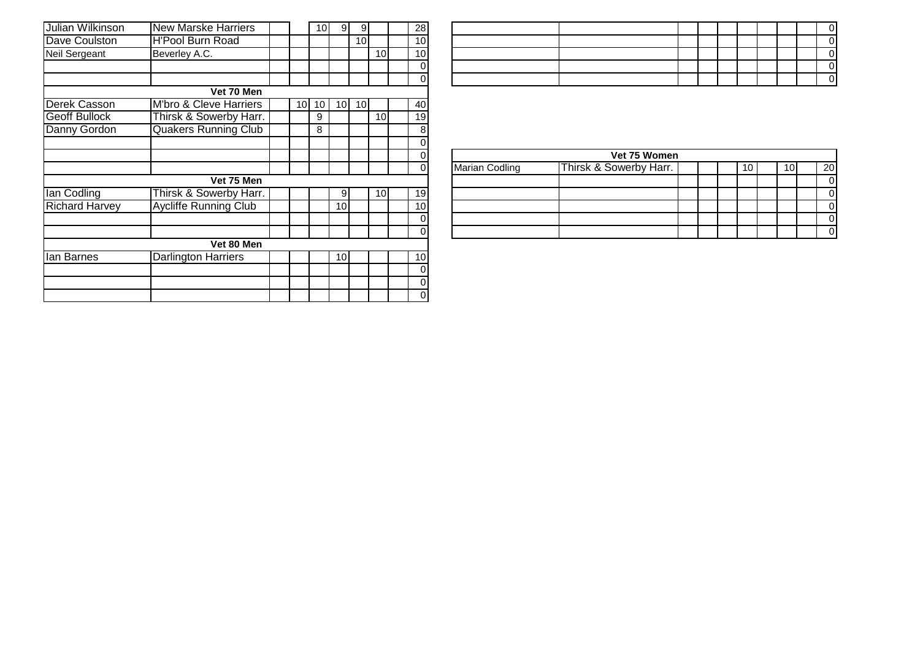| Julian Wilkinson      | <b>New Marske Harriers</b>   |    | 10 | 9  | 9               |                 | 28              |
|-----------------------|------------------------------|----|----|----|-----------------|-----------------|-----------------|
| Dave Coulston         | <b>H'Pool Burn Road</b>      |    |    |    | 10 <sup>1</sup> |                 | 10 <sup>1</sup> |
| Neil Sergeant         | Beverley A.C.                |    |    |    |                 | 10 <sup>1</sup> | 10 <sup>1</sup> |
|                       |                              |    |    |    |                 |                 | 0               |
|                       |                              |    |    |    |                 |                 | $\mathbf 0$     |
|                       | Vet 70 Men                   |    |    |    |                 |                 |                 |
| Derek Casson          | M'bro & Cleve Harriers       | 10 | 10 | 10 | 10 <sup>1</sup> |                 | 40              |
| <b>Geoff Bullock</b>  | Thirsk & Sowerby Harr.       |    | 9  |    |                 | 10 <sup>1</sup> | 19              |
| Danny Gordon          | <b>Quakers Running Club</b>  |    | 8  |    |                 |                 | 8               |
|                       |                              |    |    |    |                 |                 | 0               |
|                       |                              |    |    |    |                 |                 | 0               |
|                       |                              |    |    |    |                 |                 | $\mathbf 0$     |
|                       | Vet 75 Men                   |    |    |    |                 |                 |                 |
| lan Codling           | Thirsk & Sowerby Harr.       |    |    | 9  |                 | 10 <sup>1</sup> | 19              |
| <b>Richard Harvey</b> | <b>Aycliffe Running Club</b> |    |    | 10 |                 |                 | 10 <sup>1</sup> |
|                       |                              |    |    |    |                 |                 | 0               |
|                       |                              |    |    |    |                 |                 | $\mathbf 0$     |
|                       | Vet 80 Men                   |    |    |    |                 |                 |                 |
| lan Barnes            | <b>Darlington Harriers</b>   |    |    | 10 |                 |                 | 10 <sup>1</sup> |
|                       |                              |    |    |    |                 |                 | 0               |
|                       |                              |    |    |    |                 |                 | $\pmb{0}$       |
|                       |                              |    |    |    |                 |                 | $\mathbf 0$     |

| 8               |                       |                        |  |  |    |  |  |  |                 |  |  |  |  |  |  |  |
|-----------------|-----------------------|------------------------|--|--|----|--|--|--|-----------------|--|--|--|--|--|--|--|
| $\overline{0}$  |                       |                        |  |  |    |  |  |  |                 |  |  |  |  |  |  |  |
| $\vert 0 \vert$ |                       | Vet 75 Women           |  |  |    |  |  |  |                 |  |  |  |  |  |  |  |
| $\overline{0}$  | <b>Marian Codling</b> | Thirsk & Sowerby Harr. |  |  | 10 |  |  |  | 20 <sub>l</sub> |  |  |  |  |  |  |  |
|                 |                       |                        |  |  |    |  |  |  | $\Omega$        |  |  |  |  |  |  |  |
| 9               |                       |                        |  |  |    |  |  |  | $\Omega$        |  |  |  |  |  |  |  |
| $\overline{0}$  |                       |                        |  |  |    |  |  |  | $\Omega$        |  |  |  |  |  |  |  |
| $\overline{0}$  |                       |                        |  |  |    |  |  |  | 0               |  |  |  |  |  |  |  |
| 0               |                       |                        |  |  |    |  |  |  | $\Omega$        |  |  |  |  |  |  |  |